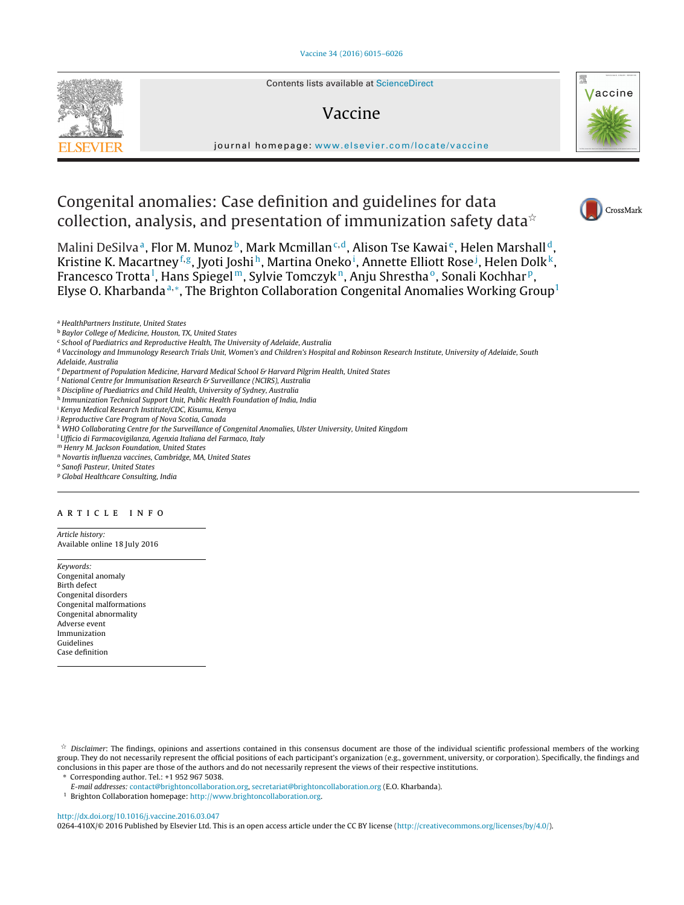

Contents lists available at [ScienceDirect](http://www.sciencedirect.com/science/journal/0264410X)

# Vaccine



iournal homepage: [www.elsevier.com/locate/vaccine](http://www.elsevier.com/locate/vaccine)

# Congenital anomalies: Case definition and guidelines for data collection, analysis, and presentation of immunization safety data $^{\star}$

Malini DeSilva<sup>a</sup>, Flor M. Munoz<sup>b</sup>, Mark Mcmillan<sup>c,d</sup>, Alison Tse Kawai<sup>e</sup>, Helen Marshall<sup>d</sup>, Kristine K. Macartney<sup>f,g</sup>, Jyoti Joshi<sup>h</sup>, Martina Oneko<sup>i</sup>, Annette Elliott Rose<sup>j</sup>, Helen Dolk<sup>k</sup>, Francesco Trotta<sup>1</sup>, Hans Spiegel™, Sylvie Tomczyk<u>n, Anju Shresthaº, Sonali Kochhar<sup>p</sup>,</u> Elyse O. Kharbanda<sup>a,∗</sup>, The Brighton Collaboration Congenital Anomalies Working Group<sup>1</sup>

- <sup>a</sup> HealthPartners Institute, United States
- <sup>b</sup> Baylor College of Medicine, Houston, TX, United States
- <sup>c</sup> School of Paediatrics and Reproductive Health, The University of Adelaide, Australia
- <sup>d</sup> Vaccinology and Immunology Research Trials Unit, Women's and Children's Hospital and Robinson Research Institute, University of Adelaide, South Adelaide, Australia
- 
- e Department of Population Medicine, Harvard Medical School & Harvard Pilgrim Health, United States
- <sup>f</sup> National Centre for Immunisation Research & Surveillance (NCIRS), Australia
- <sup>g</sup> Discipline of Paediatrics and Child Health, University of Sydney, Australia
- h Immunization Technical Support Unit, Public Health Foundation of India, India
- <sup>i</sup> Kenya Medical Research Institute/CDC, Kisumu, Kenya
- <sup>j</sup> Reproductive Care Program of Nova Scotia, Canada
- <sup>k</sup> WHO Collaborating Centre for the Surveillance of Congenital Anomalies, Ulster University, United Kingdom
- <sup>l</sup> Ufficio di Farmacovigilanza, Agenxia Italiana del Farmaco, Italy
- m Henry M. Jackson Foundation, United States
- <sup>n</sup> Novartis influenza vaccines, Cambridge, MA, United States
- <sup>o</sup> Sanofi Pasteur, United States
- <sup>p</sup> Global Healthcare Consulting, India

#### ARTICLE INFO

Article history: Available online 18 July 2016

Keywords: Congenital anomaly Birth defect Congenital disorders Congenital malformations Congenital abnormality Adverse event Immunization Guidelines Case definition

 $\hat{x}$  Disclaimer: The findings, opinions and assertions contained in this consensus document are those of the individual scientific professional members of the working group. They do not necessarily represent the official positions of each participant's organization (e.g., government, university, or corporation). Specifically, the findings and conclusions in this paper are those of the authors and do not necessarily represent the views of their respective institutions.

∗ Corresponding author. Tel.: +1 952 967 5038.

E-mail addresses: [contact@brightoncollaboration.org,](mailto:contact@brightoncollaboration.org) [secretariat@brightoncollaboration.org](mailto:secretariat@brightoncollaboration.org) (E.O. Kharbanda).

<sup>1</sup> Brighton Collaboration homepage: [http://www.brightoncollaboration.org.](http://www.brightoncollaboration.org/)

#### [http://dx.doi.org/10.1016/j.vaccine.2016.03.047](dx.doi.org/10.1016/j.vaccine.2016.03.047)

0264-410X/© 2016 Published by Elsevier Ltd. This is an open access article under the CC BY license [\(http://creativecommons.org/licenses/by/4.0/\)](http://creativecommons.org/licenses/by/4.0/).

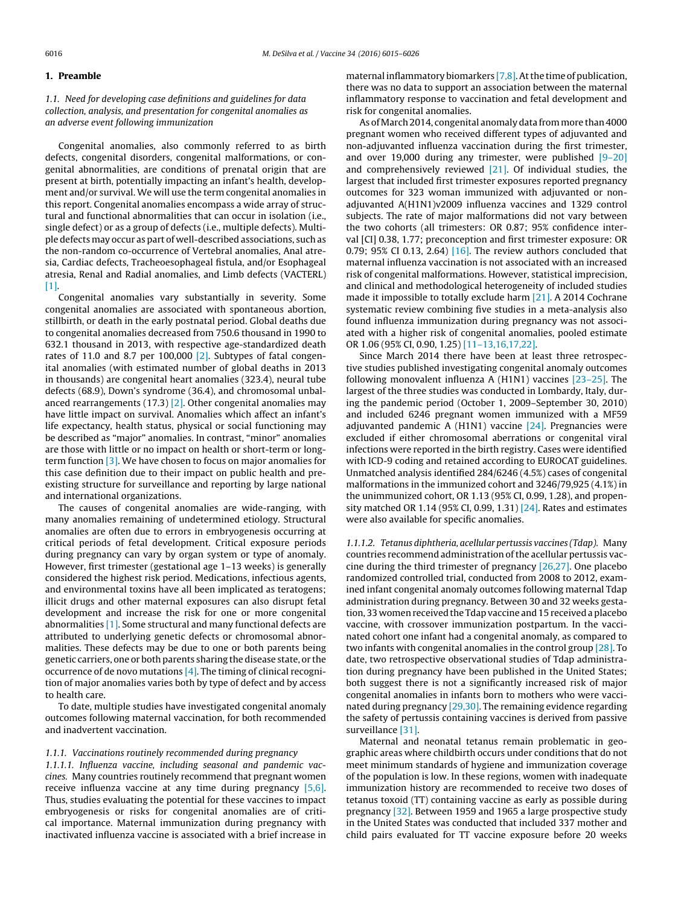#### **1. Preamble**

### 1.1. Need for developing case definitions and guidelines for data collection, analysis, and presentation for congenital anomalies as an adverse event following immunization

Congenital anomalies, also commonly referred to as birth defects, congenital disorders, congenital malformations, or congenital abnormalities, are conditions of prenatal origin that are present at birth, potentially impacting an infant's health, development and/or survival. We will use the term congenital anomalies in this report. Congenital anomalies encompass a wide array of structural and functional abnormalities that can occur in isolation (i.e., single defect) or as a group of defects (i.e., multiple defects). Multiple defects may occur as part of well-described associations, such as the non-random co-occurrence of Vertebral anomalies, Anal atresia, Cardiac defects, Tracheoesophageal fistula, and/or Esophageal atresia, Renal and Radial anomalies, and Limb defects (VACTERL) [\[1\].](#page-10-0)

Congenital anomalies vary substantially in severity. Some congenital anomalies are associated with spontaneous abortion, stillbirth, or death in the early postnatal period. Global deaths due to congenital anomalies decreased from 750.6 thousand in 1990 to 632.1 thousand in 2013, with respective age-standardized death rates of 11.0 and 8.7 per 100,000 [\[2\].](#page-10-0) Subtypes of fatal congenital anomalies (with estimated number of global deaths in 2013 in thousands) are congenital heart anomalies (323.4), neural tube defects (68.9), Down's syndrome (36.4), and chromosomal unbalanced rearrangements (17.3) [\[2\].](#page-10-0) Other congenital anomalies may have little impact on survival. Anomalies which affect an infant's life expectancy, health status, physical or social functioning may be described as "major" anomalies. In contrast, "minor" anomalies are those with little or no impact on health or short-term or longterm function [\[3\].](#page-10-0) We have chosen to focus on major anomalies for this case definition due to their impact on public health and preexisting structure for surveillance and reporting by large national and international organizations.

The causes of congenital anomalies are wide-ranging, with many anomalies remaining of undetermined etiology. Structural anomalies are often due to errors in embryogenesis occurring at critical periods of fetal development. Critical exposure periods during pregnancy can vary by organ system or type of anomaly. However, first trimester (gestational age 1–13 weeks) is generally considered the highest risk period. Medications, infectious agents, and environmental toxins have all been implicated as teratogens; illicit drugs and other maternal exposures can also disrupt fetal development and increase the risk for one or more congenital abnormalities [\[1\].](#page-10-0) Some structural and many functional defects are attributed to underlying genetic defects or chromosomal abnormalities. These defects may be due to one or both parents being genetic carriers, one or both parents sharing the disease state, or the occurrence of de novo mutations [\[4\].](#page-10-0) The timing of clinical recognition of major anomalies varies both by type of defect and by access to health care.

To date, multiple studies have investigated congenital anomaly outcomes following maternal vaccination, for both recommended and inadvertent vaccination.

#### 1.1.1. Vaccinations routinely recommended during pregnancy

1.1.1.1. Influenza vaccine, including seasonal and pandemic vaccines. Many countries routinely recommend that pregnant women receive influenza vaccine at any time during pregnancy [\[5,6\].](#page-10-0) Thus, studies evaluating the potential for these vaccines to impact embryogenesis or risks for congenital anomalies are of critical importance. Maternal immunization during pregnancy with inactivated influenza vaccine is associated with a brief increase in

maternal inflammatory biomarkers  $[7,8]$ . At the time of publication, there was no data to support an association between the maternal inflammatory response to vaccination and fetal development and risk for congenital anomalies.

As of March 2014, congenital anomaly data from more than 4000 pregnant women who received different types of adjuvanted and non-adjuvanted influenza vaccination during the first trimester, and over 19,000 during any trimester, were published  $[9-20]$ and comprehensively reviewed [\[21\].](#page-10-0) Of individual studies, the largest that included first trimester exposures reported pregnancy outcomes for 323 woman immunized with adjuvanted or nonadjuvanted A(H1N1)v2009 influenza vaccines and 1329 control subjects. The rate of major malformations did not vary between the two cohorts (all trimesters: OR 0.87; 95% confidence interval [CI] 0.38, 1.77; preconception and first trimester exposure: OR 0.79; 95% CI 0.13, 2.64) [\[16\].](#page-10-0) The review authors concluded that maternal influenza vaccination is not associated with an increased risk of congenital malformations. However, statistical imprecision, and clinical and methodological heterogeneity of included studies made it impossible to totally exclude harm [\[21\].](#page-10-0) A 2014 Cochrane systematic review combining five studies in a meta-analysis also found influenza immunization during pregnancy was not associated with a higher risk of congenital anomalies, pooled estimate OR 1.06 (95% CI, 0.90, 1.25) [\[11–13,16,17,22\].](#page-10-0)

Since March 2014 there have been at least three retrospective studies published investigating congenital anomaly outcomes following monovalent influenza A (H1N1) vaccines [\[23–25\].](#page-10-0) The largest of the three studies was conducted in Lombardy, Italy, during the pandemic period (October 1, 2009–September 30, 2010) and included 6246 pregnant women immunized with a MF59 adjuvanted pandemic A ( $H1N1$ ) vaccine [\[24\].](#page-11-0) Pregnancies were excluded if either chromosomal aberrations or congenital viral infections were reported in the birth registry. Cases were identified with ICD-9 coding and retained according to EUROCAT guidelines. Unmatched analysis identified 284/6246 (4.5%) cases of congenital malformations in the immunized cohort and 3246/79,925 (4.1%) in the unimmunized cohort, OR 1.13 (95% CI, 0.99, 1.28), and propensity matched OR 1.14 (95% CI, 0.99, 1.31) [\[24\].](#page-11-0) Rates and estimates were also available for specific anomalies.

1.1.1.2. Tetanus diphtheria, acellular pertussis vaccines (Tdap). Many countries recommend administration ofthe acellular pertussis vaccine during the third trimester of pregnancy [\[26,27\].](#page-11-0) One placebo randomized controlled trial, conducted from 2008 to 2012, examined infant congenital anomaly outcomes following maternal Tdap administration during pregnancy. Between 30 and 32 weeks gestation, 33 women received the Tdap vaccine and 15 received a placebo vaccine, with crossover immunization postpartum. In the vaccinated cohort one infant had a congenital anomaly, as compared to two infants with congenital anomalies in the control group [\[28\].](#page-11-0) To date, two retrospective observational studies of Tdap administration during pregnancy have been published in the United States; both suggest there is not a significantly increased risk of major congenital anomalies in infants born to mothers who were vaccinated during pregnancy [\[29,30\].](#page-11-0) The remaining evidence regarding the safety of pertussis containing vaccines is derived from passive surveillance [\[31\].](#page-11-0)

Maternal and neonatal tetanus remain problematic in geographic areas where childbirth occurs under conditions that do not meet minimum standards of hygiene and immunization coverage of the population is low. In these regions, women with inadequate immunization history are recommended to receive two doses of tetanus toxoid (TT) containing vaccine as early as possible during pregnancy [\[32\].](#page-11-0) Between 1959 and 1965 a large prospective study in the United States was conducted that included 337 mother and child pairs evaluated for TT vaccine exposure before 20 weeks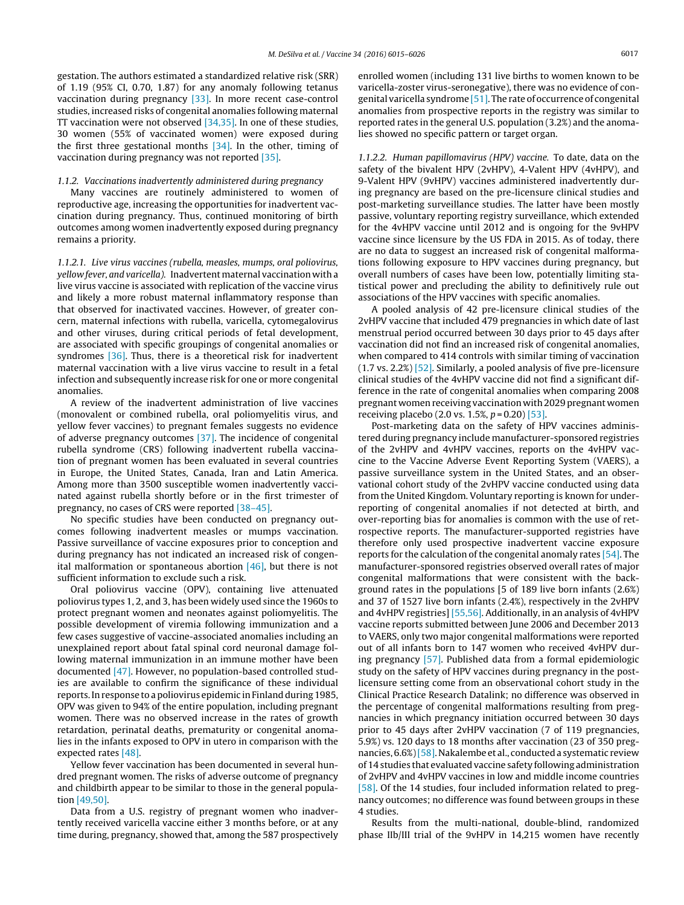gestation. The authors estimated a standardized relative risk (SRR) of 1.19 (95% CI, 0.70, 1.87) for any anomaly following tetanus vaccination during pregnancy [\[33\].](#page-11-0) In more recent case-control studies, increased risks of congenital anomalies following maternal TT vaccination were not observed [\[34,35\].](#page-11-0) In one of these studies, 30 women (55% of vaccinated women) were exposed during the first three gestational months [\[34\].](#page-11-0) In the other, timing of vaccination during pregnancy was not reported [\[35\].](#page-11-0)

#### 1.1.2. Vaccinations inadvertently administered during pregnancy

Many vaccines are routinely administered to women of reproductive age, increasing the opportunities for inadvertent vaccination during pregnancy. Thus, continued monitoring of birth outcomes among women inadvertently exposed during pregnancy remains a priority.

1.1.2.1. Live virus vaccines (rubella, measles, mumps, oral poliovirus, yellow fever, and varicella). Inadvertent maternal vaccination with a live virus vaccine is associated with replication of the vaccine virus and likely a more robust maternal inflammatory response than that observed for inactivated vaccines. However, of greater concern, maternal infections with rubella, varicella, cytomegalovirus and other viruses, during critical periods of fetal development, are associated with specific groupings of congenital anomalies or syndromes [\[36\].](#page-11-0) Thus, there is a theoretical risk for inadvertent maternal vaccination with a live virus vaccine to result in a fetal infection and subsequently increase risk for one or more congenital anomalies.

A review of the inadvertent administration of live vaccines (monovalent or combined rubella, oral poliomyelitis virus, and yellow fever vaccines) to pregnant females suggests no evidence of adverse pregnancy outcomes [\[37\].](#page-11-0) The incidence of congenital rubella syndrome (CRS) following inadvertent rubella vaccination of pregnant women has been evaluated in several countries in Europe, the United States, Canada, Iran and Latin America. Among more than 3500 susceptible women inadvertently vaccinated against rubella shortly before or in the first trimester of pregnancy, no cases of CRS were reported [\[38–45\].](#page-11-0)

No specific studies have been conducted on pregnancy outcomes following inadvertent measles or mumps vaccination. Passive surveillance of vaccine exposures prior to conception and during pregnancy has not indicated an increased risk of congenital malformation or spontaneous abortion  $[46]$ , but there is not sufficient information to exclude such a risk.

Oral poliovirus vaccine (OPV), containing live attenuated poliovirus types 1, 2, and 3, has been widely used since the 1960s to protect pregnant women and neonates against poliomyelitis. The possible development of viremia following immunization and a few cases suggestive of vaccine-associated anomalies including an unexplained report about fatal spinal cord neuronal damage following maternal immunization in an immune mother have been documented [\[47\].](#page-11-0) However, no population-based controlled studies are available to confirm the significance of these individual reports. In response to a poliovirus epidemic in Finland during 1985, OPV was given to 94% of the entire population, including pregnant women. There was no observed increase in the rates of growth retardation, perinatal deaths, prematurity or congenital anomalies in the infants exposed to OPV in utero in comparison with the expected rates [\[48\].](#page-11-0)

Yellow fever vaccination has been documented in several hundred pregnant women. The risks of adverse outcome of pregnancy and childbirth appear to be similar to those in the general population [\[49,50\].](#page-11-0)

Data from a U.S. registry of pregnant women who inadvertently received varicella vaccine either 3 months before, or at any time during, pregnancy, showed that, among the 587 prospectively enrolled women (including 131 live births to women known to be varicella-zoster virus-seronegative), there was no evidence of congenital varicella syndrome [\[51\].](#page-11-0) The rate of occurrence of congenital anomalies from prospective reports in the registry was similar to reported rates in the general U.S. population (3.2%) and the anomalies showed no specific pattern or target organ.

1.1.2.2. Human papillomavirus (HPV) vaccine. To date, data on the safety of the bivalent HPV (2vHPV), 4-Valent HPV (4vHPV), and 9-Valent HPV (9vHPV) vaccines administered inadvertently during pregnancy are based on the pre-licensure clinical studies and post-marketing surveillance studies. The latter have been mostly passive, voluntary reporting registry surveillance, which extended for the 4vHPV vaccine until 2012 and is ongoing for the 9vHPV vaccine since licensure by the US FDA in 2015. As of today, there are no data to suggest an increased risk of congenital malformations following exposure to HPV vaccines during pregnancy, but overall numbers of cases have been low, potentially limiting statistical power and precluding the ability to definitively rule out associations of the HPV vaccines with specific anomalies.

A pooled analysis of 42 pre-licensure clinical studies of the 2vHPV vaccine that included 479 pregnancies in which date of last menstrual period occurred between 30 days prior to 45 days after vaccination did not find an increased risk of congenital anomalies, when compared to 414 controls with similar timing of vaccination (1.7 vs. 2.2%) [\[52\].](#page-11-0) Similarly, a pooled analysis of five pre-licensure clinical studies of the 4vHPV vaccine did not find a significant difference in the rate of congenital anomalies when comparing 2008 pregnant women receiving vaccination with 2029 pregnant women receiving placebo (2.0 vs.  $1.5\%$ ,  $p = 0.20$ ) [\[53\].](#page-11-0)

Post-marketing data on the safety of HPV vaccines administered during pregnancy include manufacturer-sponsored registries of the 2vHPV and 4vHPV vaccines, reports on the 4vHPV vaccine to the Vaccine Adverse Event Reporting System (VAERS), a passive surveillance system in the United States, and an observational cohort study of the 2vHPV vaccine conducted using data from the United Kingdom. Voluntary reporting is known for underreporting of congenital anomalies if not detected at birth, and over-reporting bias for anomalies is common with the use of retrospective reports. The manufacturer-supported registries have therefore only used prospective inadvertent vaccine exposure reports for the calculation of the congenital anomaly rates [\[54\].](#page-11-0) The manufacturer-sponsored registries observed overall rates of major congenital malformations that were consistent with the background rates in the populations [5 of 189 live born infants (2.6%) and 37 of 1527 live born infants (2.4%), respectively in the 2vHPV and 4vHPV registries] [\[55,56\].](#page-11-0) Additionally, in an analysis of 4vHPV vaccine reports submitted between June 2006 and December 2013 to VAERS, only two major congenital malformations were reported out of all infants born to 147 women who received 4vHPV during pregnancy [\[57\].](#page-11-0) Published data from a formal epidemiologic study on the safety of HPV vaccines during pregnancy in the postlicensure setting come from an observational cohort study in the Clinical Practice Research Datalink; no difference was observed in the percentage of congenital malformations resulting from pregnancies in which pregnancy initiation occurred between 30 days prior to 45 days after 2vHPV vaccination (7 of 119 pregnancies, 5.9%) vs. 120 days to 18 months after vaccination (23 of 350 preg-nancies, 6.6%) [\[58\].](#page-11-0) Nakalembe et al., conducted a systematic review of 14 studies that evaluated vaccine safety following administration of 2vHPV and 4vHPV vaccines in low and middle income countries [\[58\].](#page-11-0) Of the 14 studies, four included information related to pregnancy outcomes; no difference was found between groups in these 4 studies.

Results from the multi-national, double-blind, randomized phase IIb/III trial of the 9vHPV in 14,215 women have recently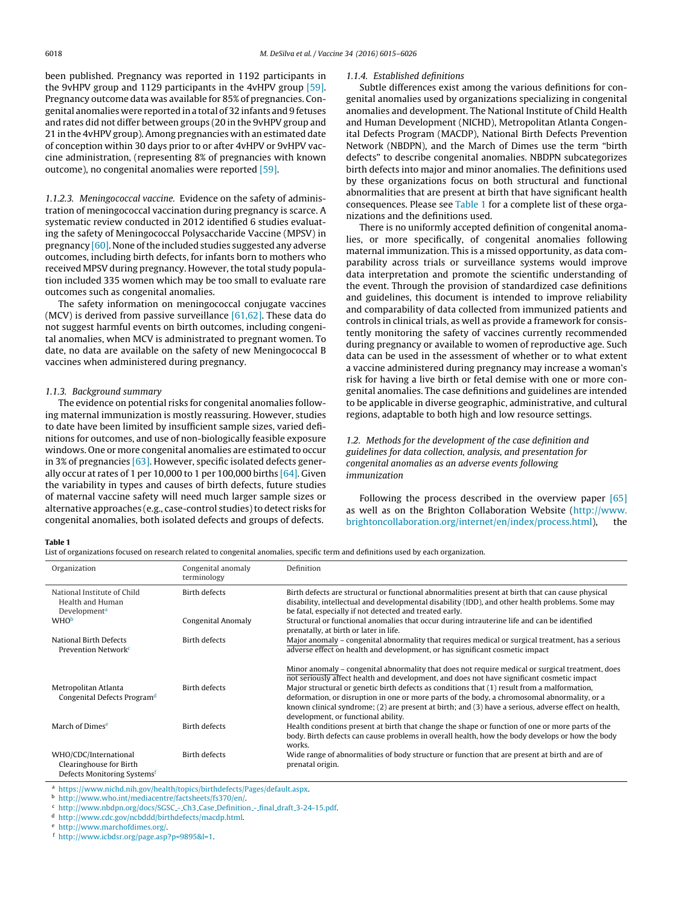<span id="page-3-0"></span>been published. Pregnancy was reported in 1192 participants in the 9vHPV group and 1129 participants in the 4vHPV group [\[59\].](#page-11-0) Pregnancy outcome data was available for 85% of pregnancies. Congenital anomalies were reported ina total of 32 infants and 9 fetuses and rates did not differ between groups (20 in the 9vHPV group and 21 in the 4vHPV group). Among pregnancies with an estimated date of conception within 30 days prior to or after 4vHPV or 9vHPV vaccine administration, (representing 8% of pregnancies with known outcome), no congenital anomalies were reported [\[59\].](#page-11-0)

1.1.2.3. Meningococcal vaccine. Evidence on the safety of administration of meningococcal vaccination during pregnancy is scarce. A systematic review conducted in 2012 identified 6 studies evaluating the safety of Meningococcal Polysaccharide Vaccine (MPSV) in pregnancy  $[60]$ . None of the included studies suggested any adverse outcomes, including birth defects, for infants born to mothers who received MPSV during pregnancy. However, the total study population included 335 women which may be too small to evaluate rare outcomes such as congenital anomalies.

The safety information on meningococcal conjugate vaccines (MCV) is derived from passive surveillance  $[61,62]$ . These data do not suggest harmful events on birth outcomes, including congenital anomalies, when MCV is administrated to pregnant women. To date, no data are available on the safety of new Meningococcal B vaccines when administered during pregnancy.

#### 1.1.3. Background summary

The evidence on potential risks for congenital anomalies following maternal immunization is mostly reassuring. However, studies to date have been limited by insufficient sample sizes, varied definitions for outcomes, and use of non-biologically feasible exposure windows. One or more congenital anomalies are estimated to occur in 3% of pregnancies  $[63]$ . However, specific isolated defects generally occur at rates of 1 per 10,000 to 1 per 100,000 births  $[64]$ . Given the variability in types and causes of birth defects, future studies of maternal vaccine safety will need much larger sample sizes or alternative approaches (e.g., case-control studies) to detect risks for congenital anomalies, both isolated defects and groups of defects.

#### 1.1.4. Established definitions

Subtle differences exist among the various definitions for congenital anomalies used by organizations specializing in congenital anomalies and development. The National Institute of Child Health and Human Development (NICHD), Metropolitan Atlanta Congenital Defects Program (MACDP), National Birth Defects Prevention Network (NBDPN), and the March of Dimes use the term "birth defects" to describe congenital anomalies. NBDPN subcategorizes birth defects into major and minor anomalies. The definitions used by these organizations focus on both structural and functional abnormalities that are present at birth that have significant health consequences. Please see Table 1 for a complete list of these organizations and the definitions used.

There is no uniformly accepted definition of congenital anomalies, or more specifically, of congenital anomalies following maternal immunization. This is a missed opportunity, as data comparability across trials or surveillance systems would improve data interpretation and promote the scientific understanding of the event. Through the provision of standardized case definitions and guidelines, this document is intended to improve reliability and comparability of data collected from immunized patients and controls in clinical trials, as well as provide a framework for consistently monitoring the safety of vaccines currently recommended during pregnancy or available to women of reproductive age. Such data can be used in the assessment of whether or to what extent a vaccine administered during pregnancy may increase a woman's risk for having a live birth or fetal demise with one or more congenital anomalies. The case definitions and guidelines are intended to be applicable in diverse geographic, administrative, and cultural regions, adaptable to both high and low resource settings.

### 1.2. Methods for the development of the case definition and guidelines for data collection, analysis, and presentation for congenital anomalies as an adverse events following immunization

Following the process described in the overview paper [\[65\]](#page-11-0) as well as on the Brighton Collaboration Website ([http://www.](http://www.brightoncollaboration.org/internet/en/index/process.html) [brightoncollaboration.org/internet/en/index/process.html\)](http://www.brightoncollaboration.org/internet/en/index/process.html), the

#### **Table 1**

List of organizations focused on research related to congenital anomalies, specific term and definitions used by each organization.

| Organization                                                                                | Congenital anomaly<br>terminology | Definition                                                                                                                                                                                                                                                                                                                                                                                                                                                                                                                                        |
|---------------------------------------------------------------------------------------------|-----------------------------------|---------------------------------------------------------------------------------------------------------------------------------------------------------------------------------------------------------------------------------------------------------------------------------------------------------------------------------------------------------------------------------------------------------------------------------------------------------------------------------------------------------------------------------------------------|
| National Institute of Child<br>Health and Human<br>Development <sup>a</sup>                 | Birth defects                     | Birth defects are structural or functional abnormalities present at birth that can cause physical<br>disability, intellectual and developmental disability (IDD), and other health problems. Some may<br>be fatal, especially if not detected and treated early.                                                                                                                                                                                                                                                                                  |
| <b>WHO</b> <sup>b</sup>                                                                     | Congenital Anomaly                | Structural or functional anomalies that occur during intrauterine life and can be identified<br>prenatally, at birth or later in life.                                                                                                                                                                                                                                                                                                                                                                                                            |
| National Birth Defects<br>Prevention Network <sup>c</sup>                                   | Birth defects                     | Major anomaly – congenital abnormality that requires medical or surgical treatment, has a serious<br>adverse effect on health and development, or has significant cosmetic impact                                                                                                                                                                                                                                                                                                                                                                 |
| Metropolitan Atlanta<br>Congenital Defects Program <sup>d</sup>                             | <b>Birth defects</b>              | Minor anomaly – congenital abnormality that does not require medical or surgical treatment, does<br>not seriously affect health and development, and does not have significant cosmetic impact<br>Major structural or genetic birth defects as conditions that (1) result from a malformation,<br>deformation, or disruption in one or more parts of the body, a chromosomal abnormality, or a<br>known clinical syndrome; $(2)$ are present at birth; and $(3)$ have a serious, adverse effect on health,<br>development, or functional ability. |
| March of Dimese                                                                             | <b>Birth defects</b>              | Health conditions present at birth that change the shape or function of one or more parts of the<br>body. Birth defects can cause problems in overall health, how the body develops or how the body<br>works.                                                                                                                                                                                                                                                                                                                                     |
| WHO/CDC/International<br>Clearinghouse for Birth<br>Defects Monitoring Systems <sup>t</sup> | <b>Birth defects</b>              | Wide range of abnormalities of body structure or function that are present at birth and are of<br>prenatal origin.                                                                                                                                                                                                                                                                                                                                                                                                                                |

<sup>a</sup> <https://www.nichd.nih.gov/health/topics/birthdefects/Pages/default.aspx>.

<sup>b</sup> [http://www.who.int/mediacentre/factsheets/fs370/en/.](http://www.who.int/mediacentre/factsheets/fs370/en/)

- <sup>c</sup> [http://www.nbdpn.org/docs/SGSC](http://www.nbdpn.org/docs/SGSC_-_Ch3_Case_Definition_-_final_draft_3-24-15.pdf) [Ch3](http://www.nbdpn.org/docs/SGSC_-_Ch3_Case_Definition_-_final_draft_3-24-15.pdf) [Case](http://www.nbdpn.org/docs/SGSC_-_Ch3_Case_Definition_-_final_draft_3-24-15.pdf) [Definition](http://www.nbdpn.org/docs/SGSC_-_Ch3_Case_Definition_-_final_draft_3-24-15.pdf) [final](http://www.nbdpn.org/docs/SGSC_-_Ch3_Case_Definition_-_final_draft_3-24-15.pdf) [draft](http://www.nbdpn.org/docs/SGSC_-_Ch3_Case_Definition_-_final_draft_3-24-15.pdf) [3-24-15.pdf.](http://www.nbdpn.org/docs/SGSC_-_Ch3_Case_Definition_-_final_draft_3-24-15.pdf)
- <sup>d</sup> [http://www.cdc.gov/ncbddd/birthdefects/macdp.html.](http://www.cdc.gov/ncbddd/birthdefects/macdp.html)

<sup>e</sup> <http://www.marchofdimes.org/>.

<sup>f</sup> <http://www.icbdsr.org/page.asp?p=9895&l=1>.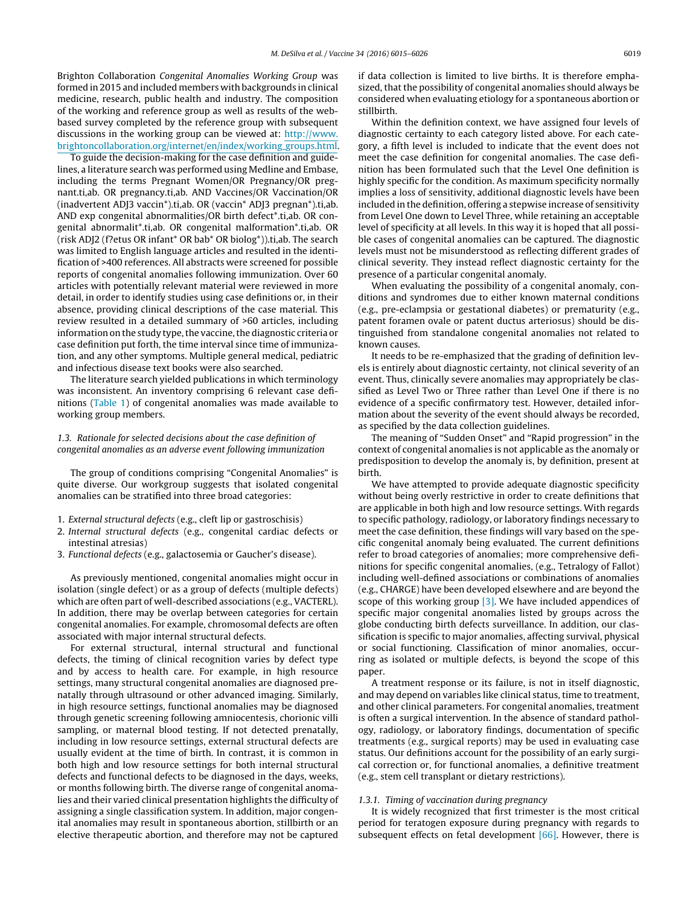Brighton Collaboration Congenital Anomalies Working Group was formed in 2015 and included members with backgrounds in clinical medicine, research, public health and industry. The composition of the working and reference group as well as results of the webbased survey completed by the reference group with subsequent discussions in the working group can be viewed at: [http://www.](http://www.brightoncollaboration.org/internet/en/index/working_groups.html) [brightoncollaboration.org/internet/en/index/working](http://www.brightoncollaboration.org/internet/en/index/working_groups.html) groups.html.

To guide the decision-making for the case definition and guidelines, a literature search was performed using Medline and Embase, including the terms Pregnant Women/OR Pregnancy/OR pregnant.ti,ab. OR pregnancy.ti,ab. AND Vaccines/OR Vaccination/OR (inadvertent ADJ3 vaccin\*).ti,ab. OR (vaccin\* ADJ3 pregnan\*).ti,ab. AND exp congenital abnormalities/OR birth defect\*.ti,ab. OR congenital abnormalit\*.ti,ab. OR congenital malformation\*.ti,ab. OR (risk ADJ2 (f?etus OR infant\* OR bab\* OR biolog\*)).ti,ab. The search was limited to English language articles and resulted in the identification of >400 references. All abstracts were screened for possible reports of congenital anomalies following immunization. Over 60 articles with potentially relevant material were reviewed in more detail, in order to identify studies using case definitions or, in their absence, providing clinical descriptions of the case material. This review resulted in a detailed summary of >60 articles, including information on the study type, the vaccine, the diagnostic criteria or case definition put forth, the time interval since time of immunization, and any other symptoms. Multiple general medical, pediatric and infectious disease text books were also searched.

The literature search yielded publications in which terminology was inconsistent. An inventory comprising 6 relevant case definitions ([Table](#page-3-0) 1) of congenital anomalies was made available to working group members.

### 1.3. Rationale for selected decisions about the case definition of congenital anomalies as an adverse event following immunization

The group of conditions comprising "Congenital Anomalies" is quite diverse. Our workgroup suggests that isolated congenital anomalies can be stratified into three broad categories:

- 1. External structural defects (e.g., cleft lip or gastroschisis)
- 2. Internal structural defects (e.g., congenital cardiac defects or intestinal atresias)
- 3. Functional defects (e.g., galactosemia or Gaucher's disease).

As previously mentioned, congenital anomalies might occur in isolation (single defect) or as a group of defects (multiple defects) which are often part of well-described associations (e.g., VACTERL). In addition, there may be overlap between categories for certain congenital anomalies. For example, chromosomal defects are often associated with major internal structural defects.

For external structural, internal structural and functional defects, the timing of clinical recognition varies by defect type and by access to health care. For example, in high resource settings, many structural congenital anomalies are diagnosed prenatally through ultrasound or other advanced imaging. Similarly, in high resource settings, functional anomalies may be diagnosed through genetic screening following amniocentesis, chorionic villi sampling, or maternal blood testing. If not detected prenatally, including in low resource settings, external structural defects are usually evident at the time of birth. In contrast, it is common in both high and low resource settings for both internal structural defects and functional defects to be diagnosed in the days, weeks, or months following birth. The diverse range of congenital anomalies and their varied clinical presentation highlights the difficulty of assigning a single classification system. In addition, major congenital anomalies may result in spontaneous abortion, stillbirth or an elective therapeutic abortion, and therefore may not be captured if data collection is limited to live births. It is therefore emphasized, that the possibility of congenital anomalies should always be considered when evaluating etiology for a spontaneous abortion or stillbirth.

Within the definition context, we have assigned four levels of diagnostic certainty to each category listed above. For each category, a fifth level is included to indicate that the event does not meet the case definition for congenital anomalies. The case definition has been formulated such that the Level One definition is highly specific for the condition. As maximum specificity normally implies a loss of sensitivity, additional diagnostic levels have been included in the definition, offering a stepwise increase of sensitivity from Level One down to Level Three, while retaining an acceptable level of specificity at all levels. In this way it is hoped that all possible cases of congenital anomalies can be captured. The diagnostic levels must not be misunderstood as reflecting different grades of clinical severity. They instead reflect diagnostic certainty for the presence of a particular congenital anomaly.

When evaluating the possibility of a congenital anomaly, conditions and syndromes due to either known maternal conditions (e.g., pre-eclampsia or gestational diabetes) or prematurity (e.g., patent foramen ovale or patent ductus arteriosus) should be distinguished from standalone congenital anomalies not related to known causes.

It needs to be re-emphasized that the grading of definition levels is entirely about diagnostic certainty, not clinical severity of an event. Thus, clinically severe anomalies may appropriately be classified as Level Two or Three rather than Level One if there is no evidence of a specific confirmatory test. However, detailed information about the severity of the event should always be recorded, as specified by the data collection guidelines.

The meaning of "Sudden Onset" and "Rapid progression" in the context of congenital anomalies is not applicable as the anomaly or predisposition to develop the anomaly is, by definition, present at birth.

We have attempted to provide adequate diagnostic specificity without being overly restrictive in order to create definitions that are applicable in both high and low resource settings. With regards to specific pathology, radiology, or laboratory findings necessary to meet the case definition, these findings will vary based on the specific congenital anomaly being evaluated. The current definitions refer to broad categories of anomalies; more comprehensive definitions for specific congenital anomalies, (e.g., Tetralogy of Fallot) including well-defined associations or combinations of anomalies (e.g., CHARGE) have been developed elsewhere and are beyond the scope of this working group  $\left[3\right]$ . We have included appendices of specific major congenital anomalies listed by groups across the globe conducting birth defects surveillance. In addition, our classification is specific to major anomalies, affecting survival, physical or social functioning. Classification of minor anomalies, occurring as isolated or multiple defects, is beyond the scope of this paper.

A treatment response or its failure, is not in itself diagnostic, and may depend on variables like clinical status, time to treatment, and other clinical parameters. For congenital anomalies, treatment is often a surgical intervention. In the absence of standard pathology, radiology, or laboratory findings, documentation of specific treatments (e.g., surgical reports) may be used in evaluating case status. Our definitions account for the possibility of an early surgical correction or, for functional anomalies, a definitive treatment (e.g., stem cell transplant or dietary restrictions).

### 1.3.1. Timing of vaccination during pregnancy

It is widely recognized that first trimester is the most critical period for teratogen exposure during pregnancy with regards to subsequent effects on fetal development  $[66]$ . However, there is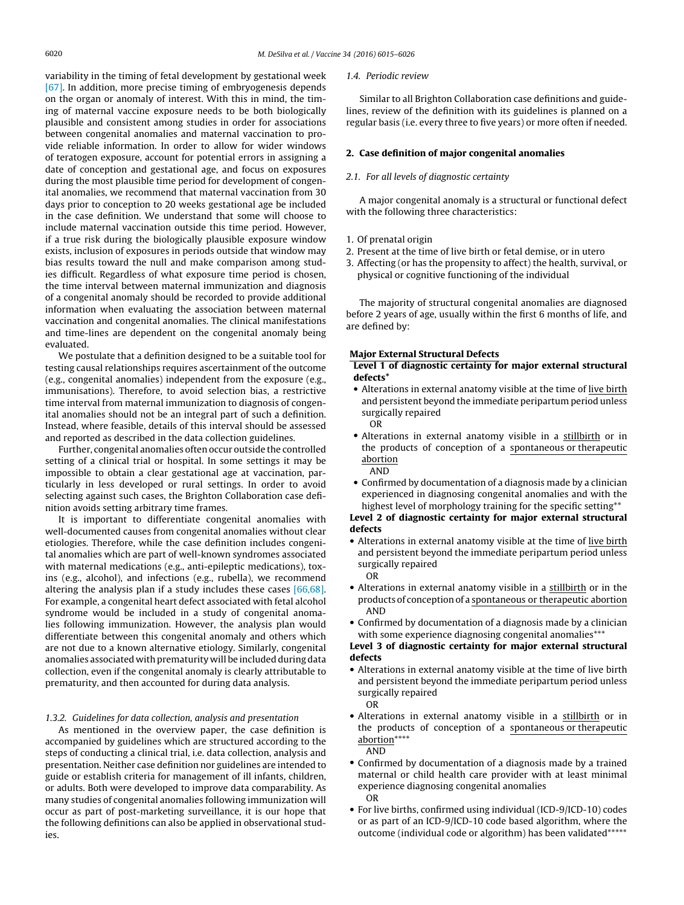variability in the timing of fetal development by gestational week [\[67\].](#page-11-0) In addition, more precise timing of embryogenesis depends on the organ or anomaly of interest. With this in mind, the timing of maternal vaccine exposure needs to be both biologically plausible and consistent among studies in order for associations between congenital anomalies and maternal vaccination to provide reliable information. In order to allow for wider windows of teratogen exposure, account for potential errors in assigning a date of conception and gestational age, and focus on exposures during the most plausible time period for development of congenital anomalies, we recommend that maternal vaccination from 30 days prior to conception to 20 weeks gestational age be included in the case definition. We understand that some will choose to include maternal vaccination outside this time period. However, if a true risk during the biologically plausible exposure window exists, inclusion of exposures in periods outside that window may bias results toward the null and make comparison among studies difficult. Regardless of what exposure time period is chosen, the time interval between maternal immunization and diagnosis of a congenital anomaly should be recorded to provide additional information when evaluating the association between maternal vaccination and congenital anomalies. The clinical manifestations and time-lines are dependent on the congenital anomaly being evaluated.

We postulate that a definition designed to be a suitable tool for testing causal relationships requires ascertainment of the outcome (e.g., congenital anomalies) independent from the exposure (e.g., immunisations). Therefore, to avoid selection bias, a restrictive time interval from maternal immunization to diagnosis of congenital anomalies should not be an integral part of such a definition. Instead, where feasible, details of this interval should be assessed and reported as described in the data collection guidelines.

Further, congenital anomalies often occur outside the controlled setting of a clinical trial or hospital. In some settings it may be impossible to obtain a clear gestational age at vaccination, particularly in less developed or rural settings. In order to avoid selecting against such cases, the Brighton Collaboration case definition avoids setting arbitrary time frames.

It is important to differentiate congenital anomalies with well-documented causes from congenital anomalies without clear etiologies. Therefore, while the case definition includes congenital anomalies which are part of well-known syndromes associated with maternal medications (e.g., anti-epileptic medications), toxins (e.g., alcohol), and infections (e.g., rubella), we recommend altering the analysis plan if a study includes these cases [\[66,68\].](#page-11-0) For example, a congenital heart defect associated with fetal alcohol syndrome would be included in a study of congenital anomalies following immunization. However, the analysis plan would differentiate between this congenital anomaly and others which are not due to a known alternative etiology. Similarly, congenital anomalies associated with prematurity will be included during data collection, even if the congenital anomaly is clearly attributable to prematurity, and then accounted for during data analysis.

#### 1.3.2. Guidelines for data collection, analysis and presentation

As mentioned in the overview paper, the case definition is accompanied by guidelines which are structured according to the steps of conducting a clinical trial, i.e. data collection, analysis and presentation. Neither case definition nor guidelines are intended to guide or establish criteria for management of ill infants, children, or adults. Both were developed to improve data comparability. As many studies of congenital anomalies following immunization will occur as part of post-marketing surveillance, it is our hope that the following definitions can also be applied in observational studies.

#### 1.4. Periodic review

Similar to all Brighton Collaboration case definitions and guidelines, review of the definition with its guidelines is planned on a regular basis (i.e. every three to five years) or more often if needed.

### **2. Case definition of major congenital anomalies**

#### 2.1. For all levels of diagnostic certainty

A major congenital anomaly is a structural or functional defect with the following three characteristics:

- 1. Of prenatal origin
- 2. Present at the time of live birth or fetal demise, or in utero
- 3. Affecting (or has the propensity to affect) the health, survival, or physical or cognitive functioning of the individual

The majority of structural congenital anomalies are diagnosed before 2 years of age, usually within the first 6 months of life, and are defined by:

#### **Major External Structural Defects**

### **Level 1 of diagnostic certainty for major external structural defects\***

- Alterations in external anatomy visible at the time of live birth and persistent beyond the immediate peripartum period unless surgically repaired OR
- Alterations in external anatomy visible in a stillbirth or in the products of conception of a spontaneous or therapeutic abortion AND
- Confirmed by documentation of a diagnosis made by a clinician experienced in diagnosing congenital anomalies and with the highest level of morphology training for the specific setting\*\*

### **Level 2 of diagnostic certainty for major external structural defects**

- Alterations in external anatomy visible at the time of live birth and persistent beyond the immediate peripartum period unless surgically repaired OR
- Alterations in external anatomy visible in a stillbirth or in the products of conception of a spontaneous or therapeutic abortion AND
- Confirmed by documentation of a diagnosis made by a clinician with some experience diagnosing congenital anomalies\*\*\*

#### **Level 3 of diagnostic certainty for major external structural defects**

- Alterations in external anatomy visible at the time of live birth and persistent beyond the immediate peripartum period unless surgically repaired
	- OR
- Alterations in external anatomy visible in a stillbirth or in the products of conception of a spontaneous or therapeutic abortion\*\*\*\* AND
- Confirmed by documentation of a diagnosis made by a trained maternal or child health care provider with at least minimal experience diagnosing congenital anomalies OR
- For live births, confirmed using individual (ICD-9/ICD-10) codes or as part of an ICD-9/ICD-10 code based algorithm, where the outcome (individual code or algorithm) has been validated\*\*\*\*\*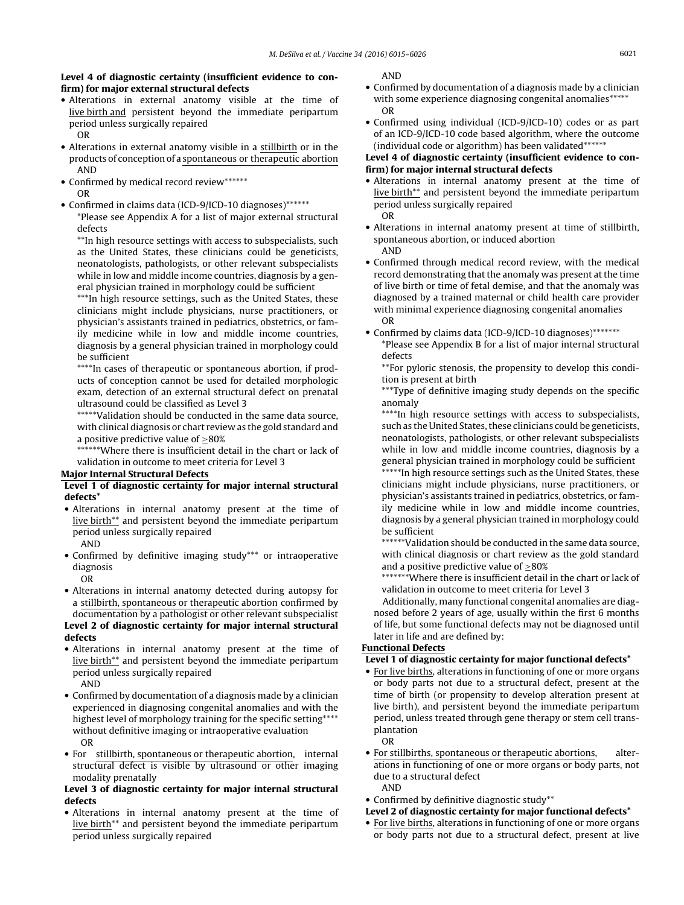### **Level 4 of diagnostic certainty (insufficient evidence to confirm) for major external structural defects**

- Alterations in external anatomy visible at the time of live birth and persistent beyond the immediate peripartum period unless surgically repaired
	- OR
- Alterations in external anatomy visible in a stillbirth or in the products of conception of a spontaneous or therapeutic abortion AND
- Confirmed by medical record review\*\*\*\*\*\*
- OR
- Confirmed in claims data (ICD-9/ICD-10 diagnoses)\*\*\*\*\*\* \*Please see Appendix A for a list of major external structural defects

\*\*In high resource settings with access to subspecialists, such as the United States, these clinicians could be geneticists, neonatologists, pathologists, or other relevant subspecialists while in low and middle income countries, diagnosis by a general physician trained in morphology could be sufficient

\*\*\*In high resource settings, such as the United States, these clinicians might include physicians, nurse practitioners, or physician's assistants trained in pediatrics, obstetrics, or family medicine while in low and middle income countries, diagnosis by a general physician trained in morphology could be sufficient

\*\*\*\*In cases of therapeutic or spontaneous abortion, if products of conception cannot be used for detailed morphologic exam, detection of an external structural defect on prenatal ultrasound could be classified as Level 3

\*\*\*\*\*Validation should be conducted in the same data source, with clinical diagnosis or chart review as the gold standard and a positive predictive value of ≥80%

\*\*\*\*\*\*Where there is insufficient detail in the chart or lack of validation in outcome to meet criteria for Level 3

## **Major Internal Structural Defects**

### **Level 1 of diagnostic certainty for major internal structural defects\***

- Alterations in internal anatomy present at the time of live birth\*\* and persistent beyond the immediate peripartum period unless surgically repaired AND
- Confirmed by definitive imaging study\*\*\* or intraoperative diagnosis

OR

• Alterations in internal anatomy detected during autopsy for a stillbirth, spontaneous or therapeutic abortion confirmed by documentation by a pathologist or other relevant subspecialist

**Level 2 of diagnostic certainty for major internal structural defects**

- Alterations in internal anatomy present at the time of live birth\*\* and persistent beyond the immediate peripartum period unless surgically repaired AND
- Confirmed by documentation of a diagnosis made by a clinician experienced in diagnosing congenital anomalies and with the highest level of morphology training for the specific setting\*\*\*\* without definitive imaging or intraoperative evaluation OR
- For stillbirth, spontaneous or therapeutic abortion, internal structural defect is visible by ultrasound or other imaging modality prenatally

### **Level 3 of diagnostic certainty for major internal structural defects**

• Alterations in internal anatomy present at the time of live birth\*\* and persistent beyond the immediate peripartum period unless surgically repaired

AND

- Confirmed by documentation of a diagnosis made by a clinician with some experience diagnosing congenital anomalies\*\*\*\*\* OR
- Confirmed using individual (ICD-9/ICD-10) codes or as part of an ICD-9/ICD-10 code based algorithm, where the outcome (individual code or algorithm) has been validated\*\*\*\*\*\*

### **Level 4 of diagnostic certainty (insufficient evidence to confirm) for major internal structural defects**

- Alterations in internal anatomy present at the time of live birth\*\* and persistent beyond the immediate peripartum period unless surgically repaired OR
- Alterations in internal anatomy present at time of stillbirth, spontaneous abortion, or induced abortion AND
- Confirmed through medical record review, with the medical record demonstrating that the anomaly was present at the time of live birth or time of fetal demise, and that the anomaly was diagnosed by a trained maternal or child health care provider with minimal experience diagnosing congenital anomalies OR
- Confirmed by claims data (ICD-9/ICD-10 diagnoses)\*\*\*\*\*\*\*

\*Please see Appendix B for a list of major internal structural defects

\*\*For pyloric stenosis, the propensity to develop this condition is present at birth

\*\*\*Type of definitive imaging study depends on the specific anomaly

\*\*\*\*In high resource settings with access to subspecialists, such as the United States, these clinicians could be geneticists, neonatologists, pathologists, or other relevant subspecialists while in low and middle income countries, diagnosis by a general physician trained in morphology could be sufficient

\*\*\*\*\*In high resource settings such as the United States, these clinicians might include physicians, nurse practitioners, or physician's assistants trained in pediatrics, obstetrics, or family medicine while in low and middle income countries, diagnosis by a general physician trained in morphology could be sufficient

\*\*\*\*\*\*Validation should be conducted in the same data source, with clinical diagnosis or chart review as the gold standard and a positive predictive value of  $\geq$ 80%

\*\*\*\*\*\*\*Where there is insufficient detail in the chart or lack of validation in outcome to meet criteria for Level 3

Additionally, many functional congenital anomalies are diagnosed before 2 years of age, usually within the first 6 months of life, but some functional defects may not be diagnosed until later in life and are defined by:

### **Functional Defects**

### **Level 1 of diagnostic certainty for major functional defects\***

• For live births, alterations in functioning of one or more organs or body parts not due to a structural defect, present at the time of birth (or propensity to develop alteration present at live birth), and persistent beyond the immediate peripartum period, unless treated through gene therapy or stem cell transplantation

OR

- For stillbirths, spontaneous or therapeutic abortions, alterations in functioning of one or more organs or body parts, not due to a structural defect AND
- Confirmed by definitive diagnostic study\*\*

# **Level 2 of diagnostic certainty for major functional defects\***

• For live births, alterations in functioning of one or more organs or body parts not due to a structural defect, present at live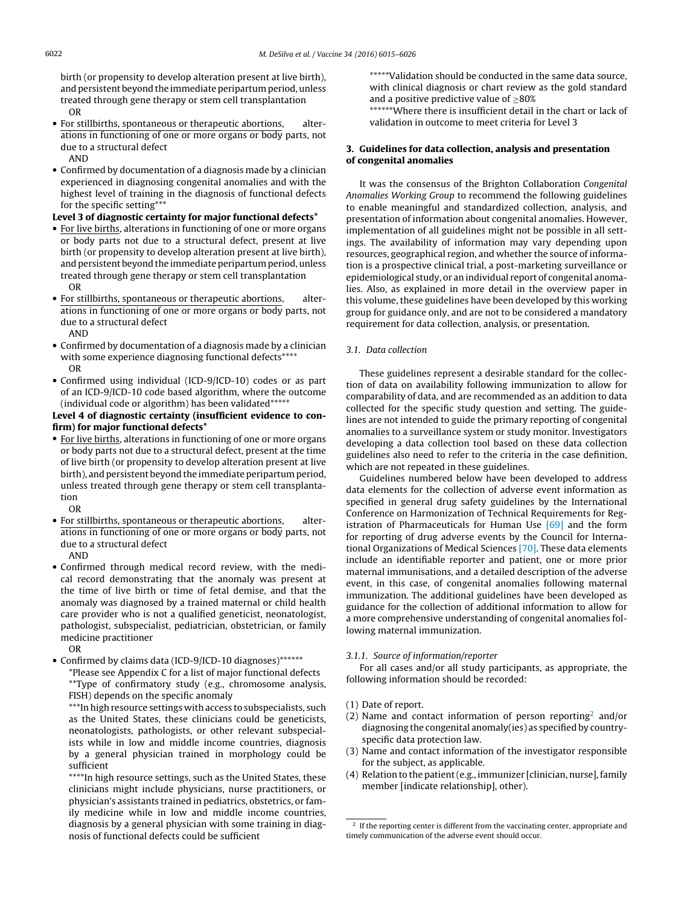birth (or propensity to develop alteration present at live birth), and persistent beyond the immediate peripartum period, unless treated through gene therapy or stem cell transplantation OR

- For stillbirths, spontaneous or therapeutic abortions, alterations in functioning of one or more organs or body parts, not due to a structural defect AND
- Confirmed by documentation of a diagnosis made by a clinician experienced in diagnosing congenital anomalies and with the highest level of training in the diagnosis of functional defects for the specific setting\*\*\*

**Level 3 of diagnostic certainty for major functional defects\***

- For live births, alterations in functioning of one or more organs or body parts not due to a structural defect, present at live birth (or propensity to develop alteration present at live birth), and persistent beyond the immediate peripartum period, unless treated through gene therapy or stem cell transplantation OR
- For stillbirths, spontaneous or therapeutic abortions, alterations in functioning of one or more organs or body parts, not due to a structural defect AND
- Confirmed by documentation of a diagnosis made by a clinician with some experience diagnosing functional defects\*\*\*\* OR
- Confirmed using individual (ICD-9/ICD-10) codes or as part of an ICD-9/ICD-10 code based algorithm, where the outcome (individual code or algorithm) has been validated\*\*\*\*\*

### **Level 4 of diagnostic certainty (insufficient evidence to confirm) for major functional defects\***

- For live births, alterations in functioning of one or more organs or body parts not due to a structural defect, present at the time of live birth (or propensity to develop alteration present at live birth), and persistent beyond the immediate peripartum period, unless treated through gene therapy or stem cell transplantation
	- OR
- For stillbirths, spontaneous or therapeutic abortions, alterations in functioning of one or more organs or body parts, not due to a structural defect

AND

• Confirmed through medical record review, with the medical record demonstrating that the anomaly was present at the time of live birth or time of fetal demise, and that the anomaly was diagnosed by a trained maternal or child health care provider who is not a qualified geneticist, neonatologist, pathologist, subspecialist, pediatrician, obstetrician, or family medicine practitioner

OR

• Confirmed by claims data (ICD-9/ICD-10 diagnoses)\*\*\*\*\*\* \*Please see Appendix C for a list of major functional defects \*\*Type of confirmatory study (e.g., chromosome analysis, FISH) depends on the specific anomaly

\*\*\*In high resource settings with access to subspecialists, such as the United States, these clinicians could be geneticists, neonatologists, pathologists, or other relevant subspecialists while in low and middle income countries, diagnosis by a general physician trained in morphology could be sufficient

\*\*\*\*In high resource settings, such as the United States, these clinicians might include physicians, nurse practitioners, or physician's assistants trained in pediatrics, obstetrics, or family medicine while in low and middle income countries, diagnosis by a general physician with some training in diagnosis of functional defects could be sufficient

\*\*\*\*\*Validation should be conducted in the same data source, with clinical diagnosis or chart review as the gold standard and a positive predictive value of ≥80%

\*\*\*\*\*\*Where there is insufficient detail in the chart or lack of validation in outcome to meet criteria for Level 3

## **3. Guidelines for data collection, analysis and presentation of congenital anomalies**

It was the consensus of the Brighton Collaboration Congenital Anomalies Working Group to recommend the following guidelines to enable meaningful and standardized collection, analysis, and presentation of information about congenital anomalies. However, implementation of all guidelines might not be possible in all settings. The availability of information may vary depending upon resources, geographical region, and whether the source of information is a prospective clinical trial, a post-marketing surveillance or epidemiological study, or an individual report of congenital anomalies. Also, as explained in more detail in the overview paper in this volume, these guidelines have been developed by this working group for guidance only, and are not to be considered a mandatory requirement for data collection, analysis, or presentation.

### 3.1. Data collection

These guidelines represent a desirable standard for the collection of data on availability following immunization to allow for comparability of data, and are recommended as an addition to data collected for the specific study question and setting. The guidelines are not intended to guide the primary reporting of congenital anomalies to a surveillance system or study monitor. Investigators developing a data collection tool based on these data collection guidelines also need to refer to the criteria in the case definition, which are not repeated in these guidelines.

Guidelines numbered below have been developed to address data elements for the collection of adverse event information as specified in general drug safety guidelines by the International Conference on Harmonization of Technical Requirements for Registration of Pharmaceuticals for Human Use  $[69]$  and the form for reporting of drug adverse events by the Council for Interna-tional Organizations of Medical Sciences [\[70\].](#page-11-0) These data elements include an identifiable reporter and patient, one or more prior maternal immunisations, and a detailed description of the adverse event, in this case, of congenital anomalies following maternal immunization. The additional guidelines have been developed as guidance for the collection of additional information to allow for a more comprehensive understanding of congenital anomalies following maternal immunization.

### 3.1.1. Source of information/reporter

For all cases and/or all study participants, as appropriate, the following information should be recorded:

- (1) Date of report.
- (2) Name and contact information of person reporting<sup>2</sup> and/or diagnosing the congenital anomaly(ies) as specified by countryspecific data protection law.
- (3) Name and contact information of the investigator responsible for the subject, as applicable.
- $(4)$  Relation to the patient  $(e.g.,$  immunizer [clinician, nurse], family member [indicate relationship], other).

 $^{\rm 2}$  If the reporting center is different from the vaccinating center, appropriate and timely communication of the adverse event should occur.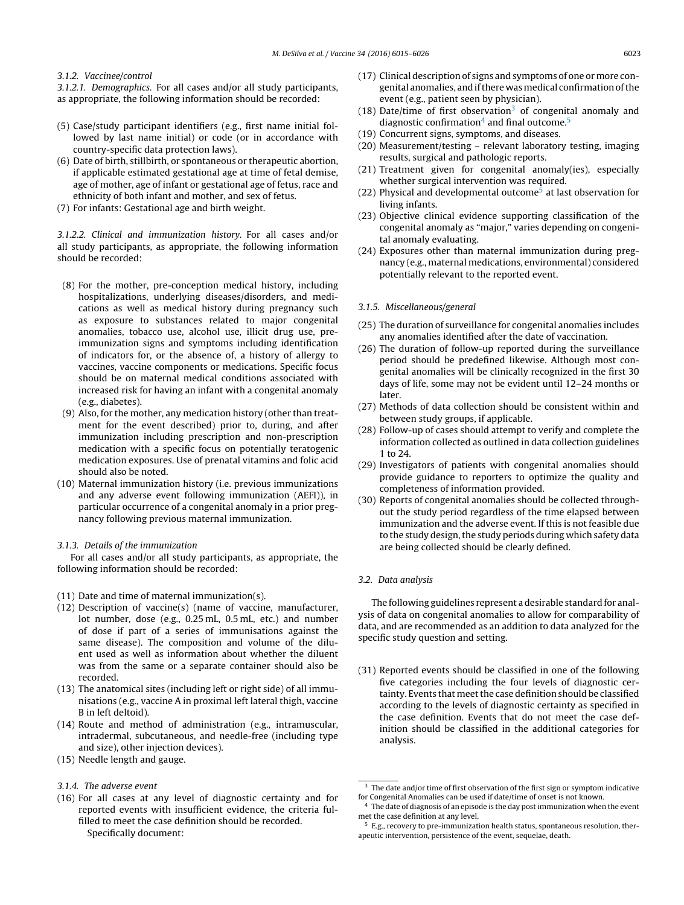### <span id="page-8-0"></span>3.1.2. Vaccinee/control

3.1.2.1. Demographics. For all cases and/or all study participants, as appropriate, the following information should be recorded:

- (5) Case/study participant identifiers (e.g., first name initial followed by last name initial) or code (or in accordance with country-specific data protection laws).
- (6) Date of birth, stillbirth, or spontaneous or therapeutic abortion, if applicable estimated gestational age at time of fetal demise, age of mother, age of infant or gestational age of fetus, race and ethnicity of both infant and mother, and sex of fetus.
- (7) For infants: Gestational age and birth weight.

3.1.2.2. Clinical and immunization history. For all cases and/or all study participants, as appropriate, the following information should be recorded:

- (8) For the mother, pre-conception medical history, including hospitalizations, underlying diseases/disorders, and medications as well as medical history during pregnancy such as exposure to substances related to major congenital anomalies, tobacco use, alcohol use, illicit drug use, preimmunization signs and symptoms including identification of indicators for, or the absence of, a history of allergy to vaccines, vaccine components or medications. Specific focus should be on maternal medical conditions associated with increased risk for having an infant with a congenital anomaly (e.g., diabetes).
- (9) Also, for the mother, any medication history (other than treatment for the event described) prior to, during, and after immunization including prescription and non-prescription medication with a specific focus on potentially teratogenic medication exposures. Use of prenatal vitamins and folic acid should also be noted.
- (10) Maternal immunization history (i.e. previous immunizations and any adverse event following immunization (AEFI)), in particular occurrence of a congenital anomaly in a prior pregnancy following previous maternal immunization.

#### 3.1.3. Details of the immunization

For all cases and/or all study participants, as appropriate, the following information should be recorded:

- (11) Date and time of maternal immunization(s).
- (12) Description of vaccine(s) (name of vaccine, manufacturer, lot number, dose (e.g., 0.25 mL, 0.5 mL, etc.) and number of dose if part of a series of immunisations against the same disease). The composition and volume of the diluent used as well as information about whether the diluent was from the same or a separate container should also be recorded.
- (13) The anatomical sites (including left or right side) of all immunisations (e.g., vaccine A in proximal left lateral thigh, vaccine B in left deltoid).
- (14) Route and method of administration (e.g., intramuscular, intradermal, subcutaneous, and needle-free (including type and size), other injection devices).
- (15) Needle length and gauge.

### 3.1.4. The adverse event

(16) For all cases at any level of diagnostic certainty and for reported events with insufficient evidence, the criteria fulfilled to meet the case definition should be recorded. Specifically document:

- (17) Clinical description of signs and symptoms of one or more congenital anomalies, andifthere wasmedical confirmationofthe event (e.g., patient seen by physician).
- (18) Date/time of first observation<sup>3</sup> of congenital anomaly and diagnostic confirmation<sup>4</sup> and final outcome.<sup>5</sup>
- (19) Concurrent signs, symptoms, and diseases.
- (20) Measurement/testing relevant laboratory testing, imaging results, surgical and pathologic reports.
- (21) Treatment given for congenital anomaly(ies), especially whether surgical intervention was required.
- (22) Physical and developmental outcome5 at last observation for living infants.
- (23) Objective clinical evidence supporting classification of the congenital anomaly as "major," varies depending on congenital anomaly evaluating.
- (24) Exposures other than maternal immunization during pregnancy (e.g., maternal medications, environmental) considered potentially relevant to the reported event.

#### 3.1.5. Miscellaneous/general

- (25) The duration of surveillance for congenital anomalies includes any anomalies identified after the date of vaccination.
- (26) The duration of follow-up reported during the surveillance period should be predefined likewise. Although most congenital anomalies will be clinically recognized in the first 30 days of life, some may not be evident until 12–24 months or later.
- (27) Methods of data collection should be consistent within and between study groups, if applicable.
- (28) Follow-up of cases should attempt to verify and complete the information collected as outlined in data collection guidelines 1 to 24.
- (29) Investigators of patients with congenital anomalies should provide guidance to reporters to optimize the quality and completeness of information provided.
- (30) Reports of congenital anomalies should be collected throughout the study period regardless of the time elapsed between immunization and the adverse event. If this is not feasible due to the study design, the study periods during which safety data are being collected should be clearly defined.

### 3.2. Data analysis

The following guidelines represent a desirable standard for analysis of data on congenital anomalies to allow for comparability of data, and are recommended as an addition to data analyzed for the specific study question and setting.

(31) Reported events should be classified in one of the following five categories including the four levels of diagnostic certainty. Events that meet the case definition should be classified according to the levels of diagnostic certainty as specified in the case definition. Events that do not meet the case definition should be classified in the additional categories for analysis.

 $3$  The date and/or time of first observation of the first sign or symptom indicative for Congenital Anomalies can be used if date/time of onset is not known.

The date of diagnosis of an episode is the day post immunization when the event met the case definition at any level.

<sup>5</sup> E.g., recovery to pre-immunization health status, spontaneous resolution, therapeutic intervention, persistence of the event, sequelae, death.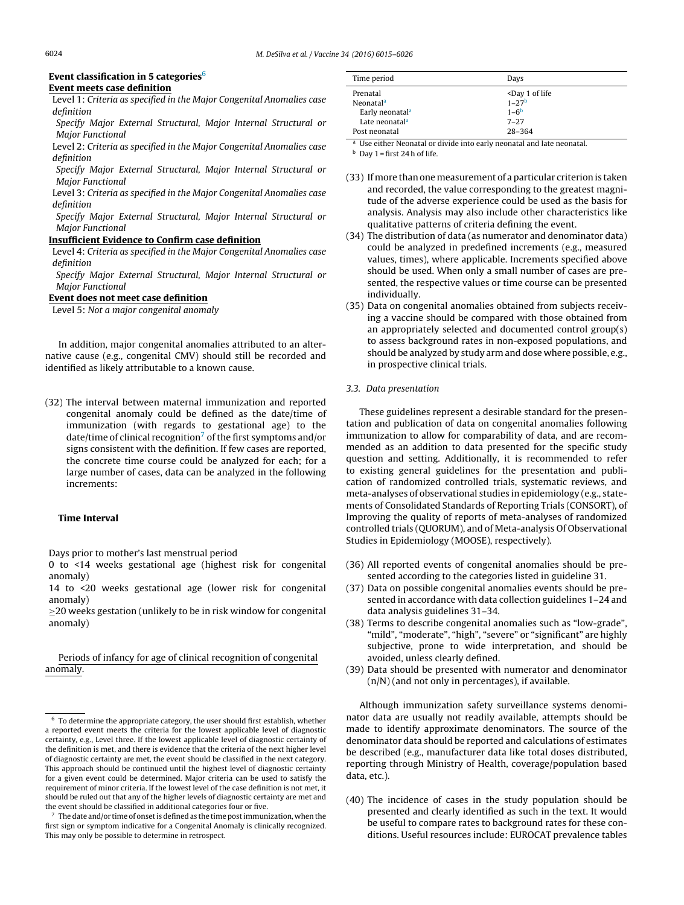# <span id="page-9-0"></span>**Event classification in 5 categories**<sup>6</sup>

**Event meets case definition**

Level 1: Criteria as specified in the Major Congenital Anomalies case definition

Specify Major External Structural, Major Internal Structural or Major Functional

Level 2: Criteria as specified in the Major Congenital Anomalies case definition

Specify Major External Structural, Major Internal Structural or Major Functional

Level 3: Criteria as specified in the Major Congenital Anomalies case definition

Specify Major External Structural, Major Internal Structural or Major Functional

#### **Insufficient Evidence to Confirm case definition**

Level 4: Criteria as specified in the Major Congenital Anomalies case definition

Specify Major External Structural, Major Internal Structural or Major Functional

#### **Event does not meet case definition**

Level 5: Not a major congenital anomaly

In addition, major congenital anomalies attributed to an alternative cause (e.g., congenital CMV) should still be recorded and identified as likely attributable to a known cause.

(32) The interval between maternal immunization and reported congenital anomaly could be defined as the date/time of immunization (with regards to gestational age) to the date/time of clinical recognition<sup>7</sup> of the first symptoms and/or signs consistent with the definition. If few cases are reported, the concrete time course could be analyzed for each; for a large number of cases, data can be analyzed in the following increments:

## **Time Interval**

Days prior to mother's last menstrual period

0 to <14 weeks gestational age (highest risk for congenital anomaly)

14 to <20 weeks gestational age (lower risk for congenital anomaly)

≥20 weeks gestation (unlikely to be in risk window for congenital anomaly)

### Periods of infancy for age of clinical recognition of congenital anomaly.

| Days                                  |
|---------------------------------------|
| <day 1="" life<="" of="" td=""></day> |
| $1 - 27b$                             |
| $1 - 6b$                              |
| $7 - 27$                              |
| $28 - 364$                            |
|                                       |

<sup>a</sup> Use either Neonatal or divide into early neonatal and late neonatal.  $<sup>b</sup>$  Day 1 = first 24 h of life.</sup>

- (33) If more than one measurement of a particular criterion is taken and recorded, the value corresponding to the greatest magnitude of the adverse experience could be used as the basis for analysis. Analysis may also include other characteristics like qualitative patterns of criteria defining the event.
- (34) The distribution of data (as numerator and denominator data) could be analyzed in predefined increments (e.g., measured values, times), where applicable. Increments specified above should be used. When only a small number of cases are presented, the respective values or time course can be presented individually.
- (35) Data on congenital anomalies obtained from subjects receiving a vaccine should be compared with those obtained from an appropriately selected and documented control group(s) to assess background rates in non-exposed populations, and should be analyzed by study arm and dose where possible, e.g., in prospective clinical trials.

#### 3.3. Data presentation

These guidelines represent a desirable standard for the presentation and publication of data on congenital anomalies following immunization to allow for comparability of data, and are recommended as an addition to data presented for the specific study question and setting. Additionally, it is recommended to refer to existing general guidelines for the presentation and publication of randomized controlled trials, systematic reviews, and meta-analyses of observational studies in epidemiology (e.g., statements of Consolidated Standards of Reporting Trials (CONSORT), of Improving the quality of reports of meta-analyses of randomized controlled trials (QUORUM), and of Meta-analysis Of Observational Studies in Epidemiology (MOOSE), respectively).

- (36) All reported events of congenital anomalies should be presented according to the categories listed in guideline 31.
- (37) Data on possible congenital anomalies events should be presented in accordance with data collection guidelines 1–24 and data analysis guidelines 31–34.
- (38) Terms to describe congenital anomalies such as "low-grade", "mild", "moderate", "high", "severe" or "significant" are highly subjective, prone to wide interpretation, and should be avoided, unless clearly defined.
- (39) Data should be presented with numerator and denominator  $(n/N)$  (and not only in percentages), if available.

Although immunization safety surveillance systems denominator data are usually not readily available, attempts should be made to identify approximate denominators. The source of the denominator data should be reported and calculations of estimates be described (e.g., manufacturer data like total doses distributed, reporting through Ministry of Health, coverage/population based data, etc.).

(40) The incidence of cases in the study population should be presented and clearly identified as such in the text. It would be useful to compare rates to background rates for these conditions. Useful resources include: EUROCAT prevalence tables

 $6$  To determine the appropriate category, the user should first establish, whether a reported event meets the criteria for the lowest applicable level of diagnostic certainty, e.g., Level three. If the lowest applicable level of diagnostic certainty of the definition is met, and there is evidence that the criteria of the next higher level of diagnostic certainty are met, the event should be classified in the next category. This approach should be continued until the highest level of diagnostic certainty for a given event could be determined. Major criteria can be used to satisfy the requirement of minor criteria. If the lowest level of the case definition is not met, it should be ruled out that any of the higher levels of diagnostic certainty are met and the event should be classified in additional categories four or five.

 $^7\,$  The date and/or time of onset is defined as the time post immunization, when the first sign or symptom indicative for a Congenital Anomaly is clinically recognized. This may only be possible to determine in retrospect.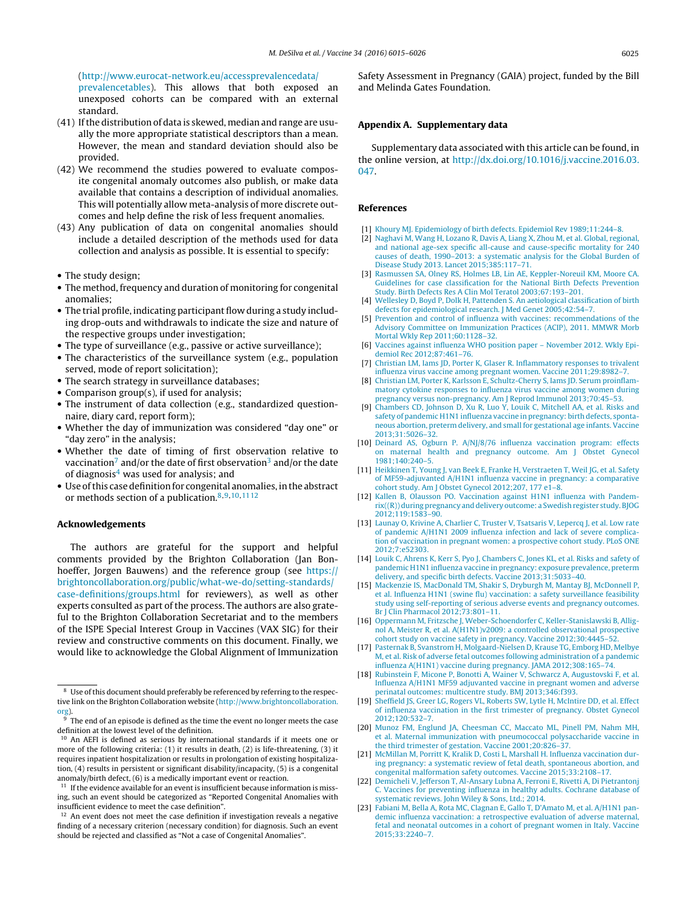<span id="page-10-0"></span>([http://www.eurocat-network.eu/accessprevalencedata/](http://www.eurocat-network.eu/accessprevalencedata/prevalencetables) [prevalencetables](http://www.eurocat-network.eu/accessprevalencedata/prevalencetables)). This allows that both exposed an unexposed cohorts can be compared with an external standard.

- (41) Ifthe distribution of data is skewed, median and range are usually the more appropriate statistical descriptors than a mean. However, the mean and standard deviation should also be provided.
- (42) We recommend the studies powered to evaluate composite congenital anomaly outcomes also publish, or make data available that contains a description of individual anomalies. This will potentially allow meta-analysis of more discrete outcomes and help define the risk of less frequent anomalies.
- (43) Any publication of data on congenital anomalies should include a detailed description of the methods used for data collection and analysis as possible. It is essential to specify:
- The study design;
- The method, frequency and duration of monitoring for congenital anomalies;
- The trial profile, indicating participant flow during a study including drop-outs and withdrawals to indicate the size and nature of the respective groups under investigation;
- The type of surveillance (e.g., passive or active surveillance);
- The characteristics of the surveillance system (e.g., population served, mode of report solicitation);
- The search strategy in surveillance databases;
- Comparison group(s), if used for analysis;
- The instrument of data collection (e.g., standardized questionnaire, diary card, report form);
- Whether the day of immunization was considered "day one" or "day zero" in the analysis;
- Whether the date of timing of first observation relative to vaccination<sup>[7](#page-9-0)</sup> and/or the date of first observation<sup>[3](#page-8-0)</sup> and/or the date of diagnosis $4$  was used for analysis; and
- Use ofthis case definition for congenital anomalies, in the abstract or methods section of a publication.<sup>8,9,10,1112</sup>

### **Acknowledgements**

The authors are grateful for the support and helpful comments provided by the Brighton Collaboration (Jan Bonhoeffer, Jorgen Bauwens) and the reference group (see [https://](https://brightoncollaboration.org/public/what-we-do/setting-standards/case-definitions/groups.html) [brightoncollaboration.org/public/what-we-do/setting-standards/](https://brightoncollaboration.org/public/what-we-do/setting-standards/case-definitions/groups.html) [case-definitions/groups.html](https://brightoncollaboration.org/public/what-we-do/setting-standards/case-definitions/groups.html) for reviewers), as well as other experts consulted as part of the process. The authors are also grateful to the Brighton Collaboration Secretariat and to the members of the ISPE Special Interest Group in Vaccines (VAX SIG) for their review and constructive comments on this document. Finally, we would like to acknowledge the Global Alignment of Immunization Safety Assessment in Pregnancy (GAIA) project, funded by the Bill and Melinda Gates Foundation.

### **Appendix A. Supplementary data**

Supplementary data associated with this article can be found, in the online version, at [http://dx.doi.org/10.1016/j.vaccine.2016.03.](http://dx.doi.org/10.1016/j.vaccine.2016.03.047) [047.](http://dx.doi.org/10.1016/j.vaccine.2016.03.047)

#### **References**

- [1] [Khoury](http://refhub.elsevier.com/S0264-410X(16)30030-5/sbref0355) [MJ.](http://refhub.elsevier.com/S0264-410X(16)30030-5/sbref0355) [Epidemiology](http://refhub.elsevier.com/S0264-410X(16)30030-5/sbref0355) [of](http://refhub.elsevier.com/S0264-410X(16)30030-5/sbref0355) [birth](http://refhub.elsevier.com/S0264-410X(16)30030-5/sbref0355) [defects.](http://refhub.elsevier.com/S0264-410X(16)30030-5/sbref0355) [Epidemiol](http://refhub.elsevier.com/S0264-410X(16)30030-5/sbref0355) [Rev](http://refhub.elsevier.com/S0264-410X(16)30030-5/sbref0355) [1989;11:244](http://refhub.elsevier.com/S0264-410X(16)30030-5/sbref0355)–[8.](http://refhub.elsevier.com/S0264-410X(16)30030-5/sbref0355)
- [2] [Naghavi](http://refhub.elsevier.com/S0264-410X(16)30030-5/sbref0360) [M,](http://refhub.elsevier.com/S0264-410X(16)30030-5/sbref0360) [Wang](http://refhub.elsevier.com/S0264-410X(16)30030-5/sbref0360) [H,](http://refhub.elsevier.com/S0264-410X(16)30030-5/sbref0360) [Lozano](http://refhub.elsevier.com/S0264-410X(16)30030-5/sbref0360) [R,](http://refhub.elsevier.com/S0264-410X(16)30030-5/sbref0360) [Davis](http://refhub.elsevier.com/S0264-410X(16)30030-5/sbref0360) [A,](http://refhub.elsevier.com/S0264-410X(16)30030-5/sbref0360) [Liang](http://refhub.elsevier.com/S0264-410X(16)30030-5/sbref0360) [X,](http://refhub.elsevier.com/S0264-410X(16)30030-5/sbref0360) [Zhou](http://refhub.elsevier.com/S0264-410X(16)30030-5/sbref0360) [M,](http://refhub.elsevier.com/S0264-410X(16)30030-5/sbref0360) [et](http://refhub.elsevier.com/S0264-410X(16)30030-5/sbref0360) [al.](http://refhub.elsevier.com/S0264-410X(16)30030-5/sbref0360) [Global,](http://refhub.elsevier.com/S0264-410X(16)30030-5/sbref0360) [regional,](http://refhub.elsevier.com/S0264-410X(16)30030-5/sbref0360) [and](http://refhub.elsevier.com/S0264-410X(16)30030-5/sbref0360) [national](http://refhub.elsevier.com/S0264-410X(16)30030-5/sbref0360) [age-sex](http://refhub.elsevier.com/S0264-410X(16)30030-5/sbref0360) [specific](http://refhub.elsevier.com/S0264-410X(16)30030-5/sbref0360) [all-cause](http://refhub.elsevier.com/S0264-410X(16)30030-5/sbref0360) [and](http://refhub.elsevier.com/S0264-410X(16)30030-5/sbref0360) [cause-specific](http://refhub.elsevier.com/S0264-410X(16)30030-5/sbref0360) [mortality](http://refhub.elsevier.com/S0264-410X(16)30030-5/sbref0360) [for](http://refhub.elsevier.com/S0264-410X(16)30030-5/sbref0360) [240](http://refhub.elsevier.com/S0264-410X(16)30030-5/sbref0360) [causes](http://refhub.elsevier.com/S0264-410X(16)30030-5/sbref0360) [of](http://refhub.elsevier.com/S0264-410X(16)30030-5/sbref0360) [death,](http://refhub.elsevier.com/S0264-410X(16)30030-5/sbref0360) [1990](http://refhub.elsevier.com/S0264-410X(16)30030-5/sbref0360)–[2013:](http://refhub.elsevier.com/S0264-410X(16)30030-5/sbref0360) [a](http://refhub.elsevier.com/S0264-410X(16)30030-5/sbref0360) [systematic](http://refhub.elsevier.com/S0264-410X(16)30030-5/sbref0360) [analysis](http://refhub.elsevier.com/S0264-410X(16)30030-5/sbref0360) [for](http://refhub.elsevier.com/S0264-410X(16)30030-5/sbref0360) [the](http://refhub.elsevier.com/S0264-410X(16)30030-5/sbref0360) [Global](http://refhub.elsevier.com/S0264-410X(16)30030-5/sbref0360) [Burden](http://refhub.elsevier.com/S0264-410X(16)30030-5/sbref0360) [of](http://refhub.elsevier.com/S0264-410X(16)30030-5/sbref0360) [Disease](http://refhub.elsevier.com/S0264-410X(16)30030-5/sbref0360) [Study](http://refhub.elsevier.com/S0264-410X(16)30030-5/sbref0360) [2013.](http://refhub.elsevier.com/S0264-410X(16)30030-5/sbref0360) [Lancet](http://refhub.elsevier.com/S0264-410X(16)30030-5/sbref0360) [2015;385:117](http://refhub.elsevier.com/S0264-410X(16)30030-5/sbref0360)–[71.](http://refhub.elsevier.com/S0264-410X(16)30030-5/sbref0360)
- [3] [Rasmussen](http://refhub.elsevier.com/S0264-410X(16)30030-5/sbref0365) [SA,](http://refhub.elsevier.com/S0264-410X(16)30030-5/sbref0365) [Olney](http://refhub.elsevier.com/S0264-410X(16)30030-5/sbref0365) [RS,](http://refhub.elsevier.com/S0264-410X(16)30030-5/sbref0365) [Holmes](http://refhub.elsevier.com/S0264-410X(16)30030-5/sbref0365) [LB,](http://refhub.elsevier.com/S0264-410X(16)30030-5/sbref0365) [Lin](http://refhub.elsevier.com/S0264-410X(16)30030-5/sbref0365) [AE,](http://refhub.elsevier.com/S0264-410X(16)30030-5/sbref0365) [Keppler-Noreuil](http://refhub.elsevier.com/S0264-410X(16)30030-5/sbref0365) [KM,](http://refhub.elsevier.com/S0264-410X(16)30030-5/sbref0365) [Moore](http://refhub.elsevier.com/S0264-410X(16)30030-5/sbref0365) [CA.](http://refhub.elsevier.com/S0264-410X(16)30030-5/sbref0365) [Guidelines](http://refhub.elsevier.com/S0264-410X(16)30030-5/sbref0365) [for](http://refhub.elsevier.com/S0264-410X(16)30030-5/sbref0365) [case](http://refhub.elsevier.com/S0264-410X(16)30030-5/sbref0365) [classification](http://refhub.elsevier.com/S0264-410X(16)30030-5/sbref0365) [for](http://refhub.elsevier.com/S0264-410X(16)30030-5/sbref0365) [the](http://refhub.elsevier.com/S0264-410X(16)30030-5/sbref0365) [National](http://refhub.elsevier.com/S0264-410X(16)30030-5/sbref0365) [Birth](http://refhub.elsevier.com/S0264-410X(16)30030-5/sbref0365) [Defects](http://refhub.elsevier.com/S0264-410X(16)30030-5/sbref0365) [Prevention](http://refhub.elsevier.com/S0264-410X(16)30030-5/sbref0365) [Study.](http://refhub.elsevier.com/S0264-410X(16)30030-5/sbref0365) [Birth](http://refhub.elsevier.com/S0264-410X(16)30030-5/sbref0365) [Defects](http://refhub.elsevier.com/S0264-410X(16)30030-5/sbref0365) [Res](http://refhub.elsevier.com/S0264-410X(16)30030-5/sbref0365) [A](http://refhub.elsevier.com/S0264-410X(16)30030-5/sbref0365) [Clin](http://refhub.elsevier.com/S0264-410X(16)30030-5/sbref0365) [Mol](http://refhub.elsevier.com/S0264-410X(16)30030-5/sbref0365) [Teratol](http://refhub.elsevier.com/S0264-410X(16)30030-5/sbref0365) [2003;67:193](http://refhub.elsevier.com/S0264-410X(16)30030-5/sbref0365)–[201.](http://refhub.elsevier.com/S0264-410X(16)30030-5/sbref0365)
- [4] [Wellesley](http://refhub.elsevier.com/S0264-410X(16)30030-5/sbref0370) [D,](http://refhub.elsevier.com/S0264-410X(16)30030-5/sbref0370) [Boyd](http://refhub.elsevier.com/S0264-410X(16)30030-5/sbref0370) [P,](http://refhub.elsevier.com/S0264-410X(16)30030-5/sbref0370) [Dolk](http://refhub.elsevier.com/S0264-410X(16)30030-5/sbref0370) [H,](http://refhub.elsevier.com/S0264-410X(16)30030-5/sbref0370) [Pattenden](http://refhub.elsevier.com/S0264-410X(16)30030-5/sbref0370) [S.](http://refhub.elsevier.com/S0264-410X(16)30030-5/sbref0370) [An](http://refhub.elsevier.com/S0264-410X(16)30030-5/sbref0370) [aetiological](http://refhub.elsevier.com/S0264-410X(16)30030-5/sbref0370) [classification](http://refhub.elsevier.com/S0264-410X(16)30030-5/sbref0370) [of](http://refhub.elsevier.com/S0264-410X(16)30030-5/sbref0370) [birth](http://refhub.elsevier.com/S0264-410X(16)30030-5/sbref0370) [defects](http://refhub.elsevier.com/S0264-410X(16)30030-5/sbref0370) [for](http://refhub.elsevier.com/S0264-410X(16)30030-5/sbref0370) [epidemiological](http://refhub.elsevier.com/S0264-410X(16)30030-5/sbref0370) [research.](http://refhub.elsevier.com/S0264-410X(16)30030-5/sbref0370) [J](http://refhub.elsevier.com/S0264-410X(16)30030-5/sbref0370) [Med](http://refhub.elsevier.com/S0264-410X(16)30030-5/sbref0370) [Genet](http://refhub.elsevier.com/S0264-410X(16)30030-5/sbref0370) [2005;42:54–7.](http://refhub.elsevier.com/S0264-410X(16)30030-5/sbref0370)
- [5] [Prevention](http://refhub.elsevier.com/S0264-410X(16)30030-5/sbref0375) [and](http://refhub.elsevier.com/S0264-410X(16)30030-5/sbref0375) [control](http://refhub.elsevier.com/S0264-410X(16)30030-5/sbref0375) [of](http://refhub.elsevier.com/S0264-410X(16)30030-5/sbref0375) [influenza](http://refhub.elsevier.com/S0264-410X(16)30030-5/sbref0375) [with](http://refhub.elsevier.com/S0264-410X(16)30030-5/sbref0375) [vaccines:](http://refhub.elsevier.com/S0264-410X(16)30030-5/sbref0375) [recommendations](http://refhub.elsevier.com/S0264-410X(16)30030-5/sbref0375) [of](http://refhub.elsevier.com/S0264-410X(16)30030-5/sbref0375) [the](http://refhub.elsevier.com/S0264-410X(16)30030-5/sbref0375) [Advisory](http://refhub.elsevier.com/S0264-410X(16)30030-5/sbref0375) [Committee](http://refhub.elsevier.com/S0264-410X(16)30030-5/sbref0375) [on](http://refhub.elsevier.com/S0264-410X(16)30030-5/sbref0375) [Immunization](http://refhub.elsevier.com/S0264-410X(16)30030-5/sbref0375) [Practices](http://refhub.elsevier.com/S0264-410X(16)30030-5/sbref0375) [\(ACIP\),](http://refhub.elsevier.com/S0264-410X(16)30030-5/sbref0375) [2011.](http://refhub.elsevier.com/S0264-410X(16)30030-5/sbref0375) [MMWR](http://refhub.elsevier.com/S0264-410X(16)30030-5/sbref0375) [Morb](http://refhub.elsevier.com/S0264-410X(16)30030-5/sbref0375) [Mortal](http://refhub.elsevier.com/S0264-410X(16)30030-5/sbref0375) [Wkly](http://refhub.elsevier.com/S0264-410X(16)30030-5/sbref0375) [Rep](http://refhub.elsevier.com/S0264-410X(16)30030-5/sbref0375) [2011;60:1128–32.](http://refhub.elsevier.com/S0264-410X(16)30030-5/sbref0375)
- [6] [Vaccines](http://refhub.elsevier.com/S0264-410X(16)30030-5/sbref0380) [against](http://refhub.elsevier.com/S0264-410X(16)30030-5/sbref0380) [influenza](http://refhub.elsevier.com/S0264-410X(16)30030-5/sbref0380) [WHO](http://refhub.elsevier.com/S0264-410X(16)30030-5/sbref0380) [position](http://refhub.elsevier.com/S0264-410X(16)30030-5/sbref0380) [paper](http://refhub.elsevier.com/S0264-410X(16)30030-5/sbref0380) [–](http://refhub.elsevier.com/S0264-410X(16)30030-5/sbref0380) [November](http://refhub.elsevier.com/S0264-410X(16)30030-5/sbref0380) [2012.](http://refhub.elsevier.com/S0264-410X(16)30030-5/sbref0380) [Wkly](http://refhub.elsevier.com/S0264-410X(16)30030-5/sbref0380) [Epi](http://refhub.elsevier.com/S0264-410X(16)30030-5/sbref0380)[demiol](http://refhub.elsevier.com/S0264-410X(16)30030-5/sbref0380) [Rec](http://refhub.elsevier.com/S0264-410X(16)30030-5/sbref0380) [2012;87:461–76.](http://refhub.elsevier.com/S0264-410X(16)30030-5/sbref0380)
- [7] [Christian](http://refhub.elsevier.com/S0264-410X(16)30030-5/sbref0385) [LM,](http://refhub.elsevier.com/S0264-410X(16)30030-5/sbref0385) [Iams](http://refhub.elsevier.com/S0264-410X(16)30030-5/sbref0385) [JD,](http://refhub.elsevier.com/S0264-410X(16)30030-5/sbref0385) [Porter](http://refhub.elsevier.com/S0264-410X(16)30030-5/sbref0385) [K,](http://refhub.elsevier.com/S0264-410X(16)30030-5/sbref0385) [Glaser](http://refhub.elsevier.com/S0264-410X(16)30030-5/sbref0385) [R.](http://refhub.elsevier.com/S0264-410X(16)30030-5/sbref0385) [Inflammatory](http://refhub.elsevier.com/S0264-410X(16)30030-5/sbref0385) [responses](http://refhub.elsevier.com/S0264-410X(16)30030-5/sbref0385) [to](http://refhub.elsevier.com/S0264-410X(16)30030-5/sbref0385) [trivalent](http://refhub.elsevier.com/S0264-410X(16)30030-5/sbref0385) [influenza](http://refhub.elsevier.com/S0264-410X(16)30030-5/sbref0385) [virus](http://refhub.elsevier.com/S0264-410X(16)30030-5/sbref0385) [vaccine](http://refhub.elsevier.com/S0264-410X(16)30030-5/sbref0385) [among](http://refhub.elsevier.com/S0264-410X(16)30030-5/sbref0385) [pregnant](http://refhub.elsevier.com/S0264-410X(16)30030-5/sbref0385) [women.](http://refhub.elsevier.com/S0264-410X(16)30030-5/sbref0385) [Vaccine](http://refhub.elsevier.com/S0264-410X(16)30030-5/sbref0385) [2011;29:8982–7.](http://refhub.elsevier.com/S0264-410X(16)30030-5/sbref0385)
- [8] [Christian](http://refhub.elsevier.com/S0264-410X(16)30030-5/sbref0390) [LM,](http://refhub.elsevier.com/S0264-410X(16)30030-5/sbref0390) [Porter](http://refhub.elsevier.com/S0264-410X(16)30030-5/sbref0390) [K,](http://refhub.elsevier.com/S0264-410X(16)30030-5/sbref0390) [Karlsson](http://refhub.elsevier.com/S0264-410X(16)30030-5/sbref0390) [E,](http://refhub.elsevier.com/S0264-410X(16)30030-5/sbref0390) [Schultz-Cherry](http://refhub.elsevier.com/S0264-410X(16)30030-5/sbref0390) [S,](http://refhub.elsevier.com/S0264-410X(16)30030-5/sbref0390) [Iams](http://refhub.elsevier.com/S0264-410X(16)30030-5/sbref0390) [JD.](http://refhub.elsevier.com/S0264-410X(16)30030-5/sbref0390) [Serum](http://refhub.elsevier.com/S0264-410X(16)30030-5/sbref0390) [proinflam](http://refhub.elsevier.com/S0264-410X(16)30030-5/sbref0390)[matory](http://refhub.elsevier.com/S0264-410X(16)30030-5/sbref0390) [cytokine](http://refhub.elsevier.com/S0264-410X(16)30030-5/sbref0390) [responses](http://refhub.elsevier.com/S0264-410X(16)30030-5/sbref0390) [to](http://refhub.elsevier.com/S0264-410X(16)30030-5/sbref0390) [influenza](http://refhub.elsevier.com/S0264-410X(16)30030-5/sbref0390) [virus](http://refhub.elsevier.com/S0264-410X(16)30030-5/sbref0390) [vaccine](http://refhub.elsevier.com/S0264-410X(16)30030-5/sbref0390) [among](http://refhub.elsevier.com/S0264-410X(16)30030-5/sbref0390) [women](http://refhub.elsevier.com/S0264-410X(16)30030-5/sbref0390) [during](http://refhub.elsevier.com/S0264-410X(16)30030-5/sbref0390) [pregnancy](http://refhub.elsevier.com/S0264-410X(16)30030-5/sbref0390) [versus](http://refhub.elsevier.com/S0264-410X(16)30030-5/sbref0390) [non-pregnancy.](http://refhub.elsevier.com/S0264-410X(16)30030-5/sbref0390) [Am](http://refhub.elsevier.com/S0264-410X(16)30030-5/sbref0390) [J](http://refhub.elsevier.com/S0264-410X(16)30030-5/sbref0390) [Reprod](http://refhub.elsevier.com/S0264-410X(16)30030-5/sbref0390) [Immunol](http://refhub.elsevier.com/S0264-410X(16)30030-5/sbref0390) [2013;70:45–53.](http://refhub.elsevier.com/S0264-410X(16)30030-5/sbref0390)
- [9] [Chambers](http://refhub.elsevier.com/S0264-410X(16)30030-5/sbref0395) [CD,](http://refhub.elsevier.com/S0264-410X(16)30030-5/sbref0395) [Johnson](http://refhub.elsevier.com/S0264-410X(16)30030-5/sbref0395) [D,](http://refhub.elsevier.com/S0264-410X(16)30030-5/sbref0395) [Xu](http://refhub.elsevier.com/S0264-410X(16)30030-5/sbref0395) [R,](http://refhub.elsevier.com/S0264-410X(16)30030-5/sbref0395) [Luo](http://refhub.elsevier.com/S0264-410X(16)30030-5/sbref0395) [Y,](http://refhub.elsevier.com/S0264-410X(16)30030-5/sbref0395) [Louik](http://refhub.elsevier.com/S0264-410X(16)30030-5/sbref0395) [C,](http://refhub.elsevier.com/S0264-410X(16)30030-5/sbref0395) [Mitchell](http://refhub.elsevier.com/S0264-410X(16)30030-5/sbref0395) [AA,](http://refhub.elsevier.com/S0264-410X(16)30030-5/sbref0395) [et](http://refhub.elsevier.com/S0264-410X(16)30030-5/sbref0395) [al.](http://refhub.elsevier.com/S0264-410X(16)30030-5/sbref0395) [Risks](http://refhub.elsevier.com/S0264-410X(16)30030-5/sbref0395) [and](http://refhub.elsevier.com/S0264-410X(16)30030-5/sbref0395) [safety](http://refhub.elsevier.com/S0264-410X(16)30030-5/sbref0395) [of](http://refhub.elsevier.com/S0264-410X(16)30030-5/sbref0395) [pandemic](http://refhub.elsevier.com/S0264-410X(16)30030-5/sbref0395) [H1N1](http://refhub.elsevier.com/S0264-410X(16)30030-5/sbref0395) [influenza](http://refhub.elsevier.com/S0264-410X(16)30030-5/sbref0395) [vaccine](http://refhub.elsevier.com/S0264-410X(16)30030-5/sbref0395) [in](http://refhub.elsevier.com/S0264-410X(16)30030-5/sbref0395) [pregnancy:](http://refhub.elsevier.com/S0264-410X(16)30030-5/sbref0395) [birth](http://refhub.elsevier.com/S0264-410X(16)30030-5/sbref0395) [defects,](http://refhub.elsevier.com/S0264-410X(16)30030-5/sbref0395) [sponta](http://refhub.elsevier.com/S0264-410X(16)30030-5/sbref0395)[neous](http://refhub.elsevier.com/S0264-410X(16)30030-5/sbref0395) [abortion,](http://refhub.elsevier.com/S0264-410X(16)30030-5/sbref0395) [preterm](http://refhub.elsevier.com/S0264-410X(16)30030-5/sbref0395) [delivery,](http://refhub.elsevier.com/S0264-410X(16)30030-5/sbref0395) [and](http://refhub.elsevier.com/S0264-410X(16)30030-5/sbref0395) [small](http://refhub.elsevier.com/S0264-410X(16)30030-5/sbref0395) [for](http://refhub.elsevier.com/S0264-410X(16)30030-5/sbref0395) [gestational](http://refhub.elsevier.com/S0264-410X(16)30030-5/sbref0395) [age](http://refhub.elsevier.com/S0264-410X(16)30030-5/sbref0395) [infants.](http://refhub.elsevier.com/S0264-410X(16)30030-5/sbref0395) [Vaccine](http://refhub.elsevier.com/S0264-410X(16)30030-5/sbref0395) [2013;31:5026–32.](http://refhub.elsevier.com/S0264-410X(16)30030-5/sbref0395)
- [10] [Deinard](http://refhub.elsevier.com/S0264-410X(16)30030-5/sbref0400) [AS,](http://refhub.elsevier.com/S0264-410X(16)30030-5/sbref0400) [Ogburn](http://refhub.elsevier.com/S0264-410X(16)30030-5/sbref0400) [P.](http://refhub.elsevier.com/S0264-410X(16)30030-5/sbref0400) [A/NJ/8/76](http://refhub.elsevier.com/S0264-410X(16)30030-5/sbref0400) [influenza](http://refhub.elsevier.com/S0264-410X(16)30030-5/sbref0400) [vaccination](http://refhub.elsevier.com/S0264-410X(16)30030-5/sbref0400) [program:](http://refhub.elsevier.com/S0264-410X(16)30030-5/sbref0400) [effects](http://refhub.elsevier.com/S0264-410X(16)30030-5/sbref0400) [on](http://refhub.elsevier.com/S0264-410X(16)30030-5/sbref0400) [maternal](http://refhub.elsevier.com/S0264-410X(16)30030-5/sbref0400) [health](http://refhub.elsevier.com/S0264-410X(16)30030-5/sbref0400) [and](http://refhub.elsevier.com/S0264-410X(16)30030-5/sbref0400) [pregnancy](http://refhub.elsevier.com/S0264-410X(16)30030-5/sbref0400) [outcome.](http://refhub.elsevier.com/S0264-410X(16)30030-5/sbref0400) [Am](http://refhub.elsevier.com/S0264-410X(16)30030-5/sbref0400) [J](http://refhub.elsevier.com/S0264-410X(16)30030-5/sbref0400) [Obstet](http://refhub.elsevier.com/S0264-410X(16)30030-5/sbref0400) [Gynecol](http://refhub.elsevier.com/S0264-410X(16)30030-5/sbref0400) [1981;140:240–5.](http://refhub.elsevier.com/S0264-410X(16)30030-5/sbref0400)
- [11] [Heikkinen](http://refhub.elsevier.com/S0264-410X(16)30030-5/sbref0405) [T,](http://refhub.elsevier.com/S0264-410X(16)30030-5/sbref0405) [Young](http://refhub.elsevier.com/S0264-410X(16)30030-5/sbref0405) [J,](http://refhub.elsevier.com/S0264-410X(16)30030-5/sbref0405) [van](http://refhub.elsevier.com/S0264-410X(16)30030-5/sbref0405) [Beek](http://refhub.elsevier.com/S0264-410X(16)30030-5/sbref0405) [E,](http://refhub.elsevier.com/S0264-410X(16)30030-5/sbref0405) [Franke](http://refhub.elsevier.com/S0264-410X(16)30030-5/sbref0405) [H,](http://refhub.elsevier.com/S0264-410X(16)30030-5/sbref0405) [Verstraeten](http://refhub.elsevier.com/S0264-410X(16)30030-5/sbref0405) [T,](http://refhub.elsevier.com/S0264-410X(16)30030-5/sbref0405) [Weil](http://refhub.elsevier.com/S0264-410X(16)30030-5/sbref0405) [JG,](http://refhub.elsevier.com/S0264-410X(16)30030-5/sbref0405) [et](http://refhub.elsevier.com/S0264-410X(16)30030-5/sbref0405) [al.](http://refhub.elsevier.com/S0264-410X(16)30030-5/sbref0405) [Safety](http://refhub.elsevier.com/S0264-410X(16)30030-5/sbref0405) [of](http://refhub.elsevier.com/S0264-410X(16)30030-5/sbref0405) [MF59-adjuvanted](http://refhub.elsevier.com/S0264-410X(16)30030-5/sbref0405) [A/H1N1](http://refhub.elsevier.com/S0264-410X(16)30030-5/sbref0405) [influenza](http://refhub.elsevier.com/S0264-410X(16)30030-5/sbref0405) [vaccine](http://refhub.elsevier.com/S0264-410X(16)30030-5/sbref0405) [in](http://refhub.elsevier.com/S0264-410X(16)30030-5/sbref0405) [pregnancy:](http://refhub.elsevier.com/S0264-410X(16)30030-5/sbref0405) [a](http://refhub.elsevier.com/S0264-410X(16)30030-5/sbref0405) [comparative](http://refhub.elsevier.com/S0264-410X(16)30030-5/sbref0405) [cohort](http://refhub.elsevier.com/S0264-410X(16)30030-5/sbref0405) [study.](http://refhub.elsevier.com/S0264-410X(16)30030-5/sbref0405) [Am](http://refhub.elsevier.com/S0264-410X(16)30030-5/sbref0405) [J](http://refhub.elsevier.com/S0264-410X(16)30030-5/sbref0405) [Obstet](http://refhub.elsevier.com/S0264-410X(16)30030-5/sbref0405) [Gynecol](http://refhub.elsevier.com/S0264-410X(16)30030-5/sbref0405) [2012;207,](http://refhub.elsevier.com/S0264-410X(16)30030-5/sbref0405) [177](http://refhub.elsevier.com/S0264-410X(16)30030-5/sbref0405) [e1](http://refhub.elsevier.com/S0264-410X(16)30030-5/sbref0405)–[8.](http://refhub.elsevier.com/S0264-410X(16)30030-5/sbref0405)
- [12] [Kallen](http://refhub.elsevier.com/S0264-410X(16)30030-5/sbref0410) [B,](http://refhub.elsevier.com/S0264-410X(16)30030-5/sbref0410) [Olausson](http://refhub.elsevier.com/S0264-410X(16)30030-5/sbref0410) [PO.](http://refhub.elsevier.com/S0264-410X(16)30030-5/sbref0410) [Vaccination](http://refhub.elsevier.com/S0264-410X(16)30030-5/sbref0410) [against](http://refhub.elsevier.com/S0264-410X(16)30030-5/sbref0410) [H1N1](http://refhub.elsevier.com/S0264-410X(16)30030-5/sbref0410) [influenza](http://refhub.elsevier.com/S0264-410X(16)30030-5/sbref0410) [with](http://refhub.elsevier.com/S0264-410X(16)30030-5/sbref0410) [Pandem](http://refhub.elsevier.com/S0264-410X(16)30030-5/sbref0410)[rix\(\(R\)\)](http://refhub.elsevier.com/S0264-410X(16)30030-5/sbref0410) [during](http://refhub.elsevier.com/S0264-410X(16)30030-5/sbref0410) [pregnancy](http://refhub.elsevier.com/S0264-410X(16)30030-5/sbref0410) [and](http://refhub.elsevier.com/S0264-410X(16)30030-5/sbref0410) [delivery](http://refhub.elsevier.com/S0264-410X(16)30030-5/sbref0410) [outcome:](http://refhub.elsevier.com/S0264-410X(16)30030-5/sbref0410) [a](http://refhub.elsevier.com/S0264-410X(16)30030-5/sbref0410) [Swedishregister](http://refhub.elsevier.com/S0264-410X(16)30030-5/sbref0410) [study.](http://refhub.elsevier.com/S0264-410X(16)30030-5/sbref0410) [BJOG](http://refhub.elsevier.com/S0264-410X(16)30030-5/sbref0410) [2012;119:1583](http://refhub.elsevier.com/S0264-410X(16)30030-5/sbref0410)–[90.](http://refhub.elsevier.com/S0264-410X(16)30030-5/sbref0410)
- [13] [Launay](http://refhub.elsevier.com/S0264-410X(16)30030-5/sbref0415) [O,](http://refhub.elsevier.com/S0264-410X(16)30030-5/sbref0415) [Krivine](http://refhub.elsevier.com/S0264-410X(16)30030-5/sbref0415) [A,](http://refhub.elsevier.com/S0264-410X(16)30030-5/sbref0415) [Charlier](http://refhub.elsevier.com/S0264-410X(16)30030-5/sbref0415) [C,](http://refhub.elsevier.com/S0264-410X(16)30030-5/sbref0415) [Truster](http://refhub.elsevier.com/S0264-410X(16)30030-5/sbref0415) [V,](http://refhub.elsevier.com/S0264-410X(16)30030-5/sbref0415) [Tsatsaris](http://refhub.elsevier.com/S0264-410X(16)30030-5/sbref0415) V, [Lepercq](http://refhub.elsevier.com/S0264-410X(16)30030-5/sbref0415) [J,](http://refhub.elsevier.com/S0264-410X(16)30030-5/sbref0415) [et](http://refhub.elsevier.com/S0264-410X(16)30030-5/sbref0415) [al.](http://refhub.elsevier.com/S0264-410X(16)30030-5/sbref0415) [Low](http://refhub.elsevier.com/S0264-410X(16)30030-5/sbref0415) [rate](http://refhub.elsevier.com/S0264-410X(16)30030-5/sbref0415) [of](http://refhub.elsevier.com/S0264-410X(16)30030-5/sbref0415) [pandemic](http://refhub.elsevier.com/S0264-410X(16)30030-5/sbref0415) [A/H1N1](http://refhub.elsevier.com/S0264-410X(16)30030-5/sbref0415) [2009](http://refhub.elsevier.com/S0264-410X(16)30030-5/sbref0415) [influenza](http://refhub.elsevier.com/S0264-410X(16)30030-5/sbref0415) [infection](http://refhub.elsevier.com/S0264-410X(16)30030-5/sbref0415) [and](http://refhub.elsevier.com/S0264-410X(16)30030-5/sbref0415) [lack](http://refhub.elsevier.com/S0264-410X(16)30030-5/sbref0415) [of](http://refhub.elsevier.com/S0264-410X(16)30030-5/sbref0415) [severe](http://refhub.elsevier.com/S0264-410X(16)30030-5/sbref0415) [complica](http://refhub.elsevier.com/S0264-410X(16)30030-5/sbref0415)[tion](http://refhub.elsevier.com/S0264-410X(16)30030-5/sbref0415) [of](http://refhub.elsevier.com/S0264-410X(16)30030-5/sbref0415) [vaccination](http://refhub.elsevier.com/S0264-410X(16)30030-5/sbref0415) [in](http://refhub.elsevier.com/S0264-410X(16)30030-5/sbref0415) [pregnant](http://refhub.elsevier.com/S0264-410X(16)30030-5/sbref0415) [women:](http://refhub.elsevier.com/S0264-410X(16)30030-5/sbref0415) [a](http://refhub.elsevier.com/S0264-410X(16)30030-5/sbref0415) [prospective](http://refhub.elsevier.com/S0264-410X(16)30030-5/sbref0415) [cohort](http://refhub.elsevier.com/S0264-410X(16)30030-5/sbref0415) [study.](http://refhub.elsevier.com/S0264-410X(16)30030-5/sbref0415) [PLoS](http://refhub.elsevier.com/S0264-410X(16)30030-5/sbref0415) [ONE](http://refhub.elsevier.com/S0264-410X(16)30030-5/sbref0415) [2012;7:e52303.](http://refhub.elsevier.com/S0264-410X(16)30030-5/sbref0415)
- [14] [Louik](http://refhub.elsevier.com/S0264-410X(16)30030-5/sbref0420) [C,](http://refhub.elsevier.com/S0264-410X(16)30030-5/sbref0420) [Ahrens](http://refhub.elsevier.com/S0264-410X(16)30030-5/sbref0420) [K,](http://refhub.elsevier.com/S0264-410X(16)30030-5/sbref0420) [Kerr](http://refhub.elsevier.com/S0264-410X(16)30030-5/sbref0420) [S,](http://refhub.elsevier.com/S0264-410X(16)30030-5/sbref0420) [Pyo](http://refhub.elsevier.com/S0264-410X(16)30030-5/sbref0420) [J,](http://refhub.elsevier.com/S0264-410X(16)30030-5/sbref0420) [Chambers](http://refhub.elsevier.com/S0264-410X(16)30030-5/sbref0420) C, [Jones](http://refhub.elsevier.com/S0264-410X(16)30030-5/sbref0420) [KL,](http://refhub.elsevier.com/S0264-410X(16)30030-5/sbref0420) [et](http://refhub.elsevier.com/S0264-410X(16)30030-5/sbref0420) [al.](http://refhub.elsevier.com/S0264-410X(16)30030-5/sbref0420) [Risks](http://refhub.elsevier.com/S0264-410X(16)30030-5/sbref0420) [and](http://refhub.elsevier.com/S0264-410X(16)30030-5/sbref0420) [safety](http://refhub.elsevier.com/S0264-410X(16)30030-5/sbref0420) [of](http://refhub.elsevier.com/S0264-410X(16)30030-5/sbref0420) [pandemic](http://refhub.elsevier.com/S0264-410X(16)30030-5/sbref0420) [H1N1](http://refhub.elsevier.com/S0264-410X(16)30030-5/sbref0420) [influenza](http://refhub.elsevier.com/S0264-410X(16)30030-5/sbref0420) [vaccine](http://refhub.elsevier.com/S0264-410X(16)30030-5/sbref0420) [in](http://refhub.elsevier.com/S0264-410X(16)30030-5/sbref0420) [pregnancy:](http://refhub.elsevier.com/S0264-410X(16)30030-5/sbref0420) [exposure](http://refhub.elsevier.com/S0264-410X(16)30030-5/sbref0420) [prevalence,](http://refhub.elsevier.com/S0264-410X(16)30030-5/sbref0420) [preterm](http://refhub.elsevier.com/S0264-410X(16)30030-5/sbref0420) [delivery,](http://refhub.elsevier.com/S0264-410X(16)30030-5/sbref0420) [and](http://refhub.elsevier.com/S0264-410X(16)30030-5/sbref0420) [specific](http://refhub.elsevier.com/S0264-410X(16)30030-5/sbref0420) [birth](http://refhub.elsevier.com/S0264-410X(16)30030-5/sbref0420) [defects.](http://refhub.elsevier.com/S0264-410X(16)30030-5/sbref0420) [Vaccine](http://refhub.elsevier.com/S0264-410X(16)30030-5/sbref0420) [2013;31:5033](http://refhub.elsevier.com/S0264-410X(16)30030-5/sbref0420)–[40.](http://refhub.elsevier.com/S0264-410X(16)30030-5/sbref0420)
- [15] [Mackenzie](http://refhub.elsevier.com/S0264-410X(16)30030-5/sbref0425) [IS,](http://refhub.elsevier.com/S0264-410X(16)30030-5/sbref0425) [MacDonald](http://refhub.elsevier.com/S0264-410X(16)30030-5/sbref0425) [TM,](http://refhub.elsevier.com/S0264-410X(16)30030-5/sbref0425) [Shakir](http://refhub.elsevier.com/S0264-410X(16)30030-5/sbref0425) [S,](http://refhub.elsevier.com/S0264-410X(16)30030-5/sbref0425) [Dryburgh](http://refhub.elsevier.com/S0264-410X(16)30030-5/sbref0425) [M,](http://refhub.elsevier.com/S0264-410X(16)30030-5/sbref0425) [Mantay](http://refhub.elsevier.com/S0264-410X(16)30030-5/sbref0425) [BJ,](http://refhub.elsevier.com/S0264-410X(16)30030-5/sbref0425) [McDonnell](http://refhub.elsevier.com/S0264-410X(16)30030-5/sbref0425) [P,](http://refhub.elsevier.com/S0264-410X(16)30030-5/sbref0425) [et](http://refhub.elsevier.com/S0264-410X(16)30030-5/sbref0425) [al.](http://refhub.elsevier.com/S0264-410X(16)30030-5/sbref0425) [Influenza](http://refhub.elsevier.com/S0264-410X(16)30030-5/sbref0425) [H1N1](http://refhub.elsevier.com/S0264-410X(16)30030-5/sbref0425) [\(swine](http://refhub.elsevier.com/S0264-410X(16)30030-5/sbref0425) [flu\)](http://refhub.elsevier.com/S0264-410X(16)30030-5/sbref0425) [vaccination:](http://refhub.elsevier.com/S0264-410X(16)30030-5/sbref0425) [a](http://refhub.elsevier.com/S0264-410X(16)30030-5/sbref0425) [safety](http://refhub.elsevier.com/S0264-410X(16)30030-5/sbref0425) [surveillance](http://refhub.elsevier.com/S0264-410X(16)30030-5/sbref0425) [feasibility](http://refhub.elsevier.com/S0264-410X(16)30030-5/sbref0425) [study](http://refhub.elsevier.com/S0264-410X(16)30030-5/sbref0425) [using](http://refhub.elsevier.com/S0264-410X(16)30030-5/sbref0425) [self-reporting](http://refhub.elsevier.com/S0264-410X(16)30030-5/sbref0425) [of](http://refhub.elsevier.com/S0264-410X(16)30030-5/sbref0425) [serious](http://refhub.elsevier.com/S0264-410X(16)30030-5/sbref0425) [adverse](http://refhub.elsevier.com/S0264-410X(16)30030-5/sbref0425) [events](http://refhub.elsevier.com/S0264-410X(16)30030-5/sbref0425) [and](http://refhub.elsevier.com/S0264-410X(16)30030-5/sbref0425) [pregnancy](http://refhub.elsevier.com/S0264-410X(16)30030-5/sbref0425) [outcomes.](http://refhub.elsevier.com/S0264-410X(16)30030-5/sbref0425) [Br](http://refhub.elsevier.com/S0264-410X(16)30030-5/sbref0425) [J](http://refhub.elsevier.com/S0264-410X(16)30030-5/sbref0425) [Clin](http://refhub.elsevier.com/S0264-410X(16)30030-5/sbref0425) [Pharmacol](http://refhub.elsevier.com/S0264-410X(16)30030-5/sbref0425) [2012;73:801](http://refhub.elsevier.com/S0264-410X(16)30030-5/sbref0425)–[11.](http://refhub.elsevier.com/S0264-410X(16)30030-5/sbref0425)
- [16] [Oppermann](http://refhub.elsevier.com/S0264-410X(16)30030-5/sbref0430) [M,](http://refhub.elsevier.com/S0264-410X(16)30030-5/sbref0430) [Fritzsche](http://refhub.elsevier.com/S0264-410X(16)30030-5/sbref0430) [J,](http://refhub.elsevier.com/S0264-410X(16)30030-5/sbref0430) [Weber-Schoendorfer](http://refhub.elsevier.com/S0264-410X(16)30030-5/sbref0430) [C,](http://refhub.elsevier.com/S0264-410X(16)30030-5/sbref0430) [Keller-Stanislawski](http://refhub.elsevier.com/S0264-410X(16)30030-5/sbref0430) [B,](http://refhub.elsevier.com/S0264-410X(16)30030-5/sbref0430) [Allig](http://refhub.elsevier.com/S0264-410X(16)30030-5/sbref0430)[nol](http://refhub.elsevier.com/S0264-410X(16)30030-5/sbref0430) [A,](http://refhub.elsevier.com/S0264-410X(16)30030-5/sbref0430) [Meister](http://refhub.elsevier.com/S0264-410X(16)30030-5/sbref0430) [R,](http://refhub.elsevier.com/S0264-410X(16)30030-5/sbref0430) [et](http://refhub.elsevier.com/S0264-410X(16)30030-5/sbref0430) [al.](http://refhub.elsevier.com/S0264-410X(16)30030-5/sbref0430) [A\(H1N1\)v2009:](http://refhub.elsevier.com/S0264-410X(16)30030-5/sbref0430) [a](http://refhub.elsevier.com/S0264-410X(16)30030-5/sbref0430) [controlled](http://refhub.elsevier.com/S0264-410X(16)30030-5/sbref0430) [observational](http://refhub.elsevier.com/S0264-410X(16)30030-5/sbref0430) [prospective](http://refhub.elsevier.com/S0264-410X(16)30030-5/sbref0430) [cohort](http://refhub.elsevier.com/S0264-410X(16)30030-5/sbref0430) [study](http://refhub.elsevier.com/S0264-410X(16)30030-5/sbref0430) [on](http://refhub.elsevier.com/S0264-410X(16)30030-5/sbref0430) [vaccine](http://refhub.elsevier.com/S0264-410X(16)30030-5/sbref0430) [safety](http://refhub.elsevier.com/S0264-410X(16)30030-5/sbref0430) [in](http://refhub.elsevier.com/S0264-410X(16)30030-5/sbref0430) [pregnancy.](http://refhub.elsevier.com/S0264-410X(16)30030-5/sbref0430) [Vaccine](http://refhub.elsevier.com/S0264-410X(16)30030-5/sbref0430) [2012;30:4445](http://refhub.elsevier.com/S0264-410X(16)30030-5/sbref0430)–[52.](http://refhub.elsevier.com/S0264-410X(16)30030-5/sbref0430)
- [17] [Pasternak](http://refhub.elsevier.com/S0264-410X(16)30030-5/sbref0435) [B,](http://refhub.elsevier.com/S0264-410X(16)30030-5/sbref0435) [Svanstrom](http://refhub.elsevier.com/S0264-410X(16)30030-5/sbref0435) [H,](http://refhub.elsevier.com/S0264-410X(16)30030-5/sbref0435) [Molgaard-Nielsen](http://refhub.elsevier.com/S0264-410X(16)30030-5/sbref0435) [D,](http://refhub.elsevier.com/S0264-410X(16)30030-5/sbref0435) [Krause](http://refhub.elsevier.com/S0264-410X(16)30030-5/sbref0435) [TG,](http://refhub.elsevier.com/S0264-410X(16)30030-5/sbref0435) [Emborg](http://refhub.elsevier.com/S0264-410X(16)30030-5/sbref0435) [HD,](http://refhub.elsevier.com/S0264-410X(16)30030-5/sbref0435) [Melbye](http://refhub.elsevier.com/S0264-410X(16)30030-5/sbref0435) [M,](http://refhub.elsevier.com/S0264-410X(16)30030-5/sbref0435) [et](http://refhub.elsevier.com/S0264-410X(16)30030-5/sbref0435) [al.](http://refhub.elsevier.com/S0264-410X(16)30030-5/sbref0435) [Risk](http://refhub.elsevier.com/S0264-410X(16)30030-5/sbref0435) [of](http://refhub.elsevier.com/S0264-410X(16)30030-5/sbref0435) [adverse](http://refhub.elsevier.com/S0264-410X(16)30030-5/sbref0435) [fetal](http://refhub.elsevier.com/S0264-410X(16)30030-5/sbref0435) [outcomes](http://refhub.elsevier.com/S0264-410X(16)30030-5/sbref0435) [following](http://refhub.elsevier.com/S0264-410X(16)30030-5/sbref0435) [administration](http://refhub.elsevier.com/S0264-410X(16)30030-5/sbref0435) [of](http://refhub.elsevier.com/S0264-410X(16)30030-5/sbref0435) [a](http://refhub.elsevier.com/S0264-410X(16)30030-5/sbref0435) [pandemic](http://refhub.elsevier.com/S0264-410X(16)30030-5/sbref0435) [influenza](http://refhub.elsevier.com/S0264-410X(16)30030-5/sbref0435) [A\(H1N1\)](http://refhub.elsevier.com/S0264-410X(16)30030-5/sbref0435) [vaccine](http://refhub.elsevier.com/S0264-410X(16)30030-5/sbref0435) [during](http://refhub.elsevier.com/S0264-410X(16)30030-5/sbref0435) [pregnancy.](http://refhub.elsevier.com/S0264-410X(16)30030-5/sbref0435) [JAMA](http://refhub.elsevier.com/S0264-410X(16)30030-5/sbref0435) [2012;308:165–74.](http://refhub.elsevier.com/S0264-410X(16)30030-5/sbref0435)
- [18] [Rubinstein](http://refhub.elsevier.com/S0264-410X(16)30030-5/sbref0440) [F,](http://refhub.elsevier.com/S0264-410X(16)30030-5/sbref0440) [Micone](http://refhub.elsevier.com/S0264-410X(16)30030-5/sbref0440) [P,](http://refhub.elsevier.com/S0264-410X(16)30030-5/sbref0440) [Bonotti](http://refhub.elsevier.com/S0264-410X(16)30030-5/sbref0440) [A,](http://refhub.elsevier.com/S0264-410X(16)30030-5/sbref0440) [Wainer](http://refhub.elsevier.com/S0264-410X(16)30030-5/sbref0440) [V,](http://refhub.elsevier.com/S0264-410X(16)30030-5/sbref0440) [Schwarcz](http://refhub.elsevier.com/S0264-410X(16)30030-5/sbref0440) [A,](http://refhub.elsevier.com/S0264-410X(16)30030-5/sbref0440) [Augustovski](http://refhub.elsevier.com/S0264-410X(16)30030-5/sbref0440) [F,](http://refhub.elsevier.com/S0264-410X(16)30030-5/sbref0440) [et](http://refhub.elsevier.com/S0264-410X(16)30030-5/sbref0440) [al.](http://refhub.elsevier.com/S0264-410X(16)30030-5/sbref0440) [Influenza](http://refhub.elsevier.com/S0264-410X(16)30030-5/sbref0440) [A/H1N1](http://refhub.elsevier.com/S0264-410X(16)30030-5/sbref0440) [MF59](http://refhub.elsevier.com/S0264-410X(16)30030-5/sbref0440) [adjuvanted](http://refhub.elsevier.com/S0264-410X(16)30030-5/sbref0440) [vaccine](http://refhub.elsevier.com/S0264-410X(16)30030-5/sbref0440) [in](http://refhub.elsevier.com/S0264-410X(16)30030-5/sbref0440) [pregnant](http://refhub.elsevier.com/S0264-410X(16)30030-5/sbref0440) [women](http://refhub.elsevier.com/S0264-410X(16)30030-5/sbref0440) [and](http://refhub.elsevier.com/S0264-410X(16)30030-5/sbref0440) [adverse](http://refhub.elsevier.com/S0264-410X(16)30030-5/sbref0440) [perinatal](http://refhub.elsevier.com/S0264-410X(16)30030-5/sbref0440) [outcomes:](http://refhub.elsevier.com/S0264-410X(16)30030-5/sbref0440) [multicentre](http://refhub.elsevier.com/S0264-410X(16)30030-5/sbref0440) [study.](http://refhub.elsevier.com/S0264-410X(16)30030-5/sbref0440) [BMJ](http://refhub.elsevier.com/S0264-410X(16)30030-5/sbref0440) [2013;346:f393.](http://refhub.elsevier.com/S0264-410X(16)30030-5/sbref0440)
- [19] [Sheffield](http://refhub.elsevier.com/S0264-410X(16)30030-5/sbref0445) [JS,](http://refhub.elsevier.com/S0264-410X(16)30030-5/sbref0445) [Greer](http://refhub.elsevier.com/S0264-410X(16)30030-5/sbref0445) [LG,](http://refhub.elsevier.com/S0264-410X(16)30030-5/sbref0445) [Rogers](http://refhub.elsevier.com/S0264-410X(16)30030-5/sbref0445) [VL,](http://refhub.elsevier.com/S0264-410X(16)30030-5/sbref0445) [Roberts](http://refhub.elsevier.com/S0264-410X(16)30030-5/sbref0445) [SW,](http://refhub.elsevier.com/S0264-410X(16)30030-5/sbref0445) [Lytle](http://refhub.elsevier.com/S0264-410X(16)30030-5/sbref0445) [H,](http://refhub.elsevier.com/S0264-410X(16)30030-5/sbref0445) [McIntire](http://refhub.elsevier.com/S0264-410X(16)30030-5/sbref0445) [DD,](http://refhub.elsevier.com/S0264-410X(16)30030-5/sbref0445) [et](http://refhub.elsevier.com/S0264-410X(16)30030-5/sbref0445) [al.](http://refhub.elsevier.com/S0264-410X(16)30030-5/sbref0445) [Effect](http://refhub.elsevier.com/S0264-410X(16)30030-5/sbref0445) [of](http://refhub.elsevier.com/S0264-410X(16)30030-5/sbref0445) [influenza](http://refhub.elsevier.com/S0264-410X(16)30030-5/sbref0445) [vaccination](http://refhub.elsevier.com/S0264-410X(16)30030-5/sbref0445) [in](http://refhub.elsevier.com/S0264-410X(16)30030-5/sbref0445) [the](http://refhub.elsevier.com/S0264-410X(16)30030-5/sbref0445) [first](http://refhub.elsevier.com/S0264-410X(16)30030-5/sbref0445) [trimester](http://refhub.elsevier.com/S0264-410X(16)30030-5/sbref0445) [of](http://refhub.elsevier.com/S0264-410X(16)30030-5/sbref0445) [pregnancy.](http://refhub.elsevier.com/S0264-410X(16)30030-5/sbref0445) [Obstet](http://refhub.elsevier.com/S0264-410X(16)30030-5/sbref0445) [Gynecol](http://refhub.elsevier.com/S0264-410X(16)30030-5/sbref0445) [2012;120:532–7.](http://refhub.elsevier.com/S0264-410X(16)30030-5/sbref0445)
- [20] [Munoz](http://refhub.elsevier.com/S0264-410X(16)30030-5/sbref0450) [FM,](http://refhub.elsevier.com/S0264-410X(16)30030-5/sbref0450) [Englund](http://refhub.elsevier.com/S0264-410X(16)30030-5/sbref0450) [JA,](http://refhub.elsevier.com/S0264-410X(16)30030-5/sbref0450) [Cheesman](http://refhub.elsevier.com/S0264-410X(16)30030-5/sbref0450) [CC,](http://refhub.elsevier.com/S0264-410X(16)30030-5/sbref0450) [Maccato](http://refhub.elsevier.com/S0264-410X(16)30030-5/sbref0450) [ML,](http://refhub.elsevier.com/S0264-410X(16)30030-5/sbref0450) [Pinell](http://refhub.elsevier.com/S0264-410X(16)30030-5/sbref0450) [PM,](http://refhub.elsevier.com/S0264-410X(16)30030-5/sbref0450) [Nahm](http://refhub.elsevier.com/S0264-410X(16)30030-5/sbref0450) [MH,](http://refhub.elsevier.com/S0264-410X(16)30030-5/sbref0450) [et](http://refhub.elsevier.com/S0264-410X(16)30030-5/sbref0450) [al.](http://refhub.elsevier.com/S0264-410X(16)30030-5/sbref0450) [Maternal](http://refhub.elsevier.com/S0264-410X(16)30030-5/sbref0450) [immunization](http://refhub.elsevier.com/S0264-410X(16)30030-5/sbref0450) [with](http://refhub.elsevier.com/S0264-410X(16)30030-5/sbref0450) [pneumococcal](http://refhub.elsevier.com/S0264-410X(16)30030-5/sbref0450) [polysaccharide](http://refhub.elsevier.com/S0264-410X(16)30030-5/sbref0450) [vaccine](http://refhub.elsevier.com/S0264-410X(16)30030-5/sbref0450) [in](http://refhub.elsevier.com/S0264-410X(16)30030-5/sbref0450) [the](http://refhub.elsevier.com/S0264-410X(16)30030-5/sbref0450) [third](http://refhub.elsevier.com/S0264-410X(16)30030-5/sbref0450) [trimester](http://refhub.elsevier.com/S0264-410X(16)30030-5/sbref0450) [of](http://refhub.elsevier.com/S0264-410X(16)30030-5/sbref0450) [gestation.](http://refhub.elsevier.com/S0264-410X(16)30030-5/sbref0450) [Vaccine](http://refhub.elsevier.com/S0264-410X(16)30030-5/sbref0450) [2001;20:826–37.](http://refhub.elsevier.com/S0264-410X(16)30030-5/sbref0450)
- [21] [McMillan](http://refhub.elsevier.com/S0264-410X(16)30030-5/sbref0455) [M,](http://refhub.elsevier.com/S0264-410X(16)30030-5/sbref0455) [Porritt](http://refhub.elsevier.com/S0264-410X(16)30030-5/sbref0455) [K,](http://refhub.elsevier.com/S0264-410X(16)30030-5/sbref0455) [Kralik](http://refhub.elsevier.com/S0264-410X(16)30030-5/sbref0455) [D,](http://refhub.elsevier.com/S0264-410X(16)30030-5/sbref0455) [Costi](http://refhub.elsevier.com/S0264-410X(16)30030-5/sbref0455) [L,](http://refhub.elsevier.com/S0264-410X(16)30030-5/sbref0455) [Marshall](http://refhub.elsevier.com/S0264-410X(16)30030-5/sbref0455) [H.](http://refhub.elsevier.com/S0264-410X(16)30030-5/sbref0455) [Influenza](http://refhub.elsevier.com/S0264-410X(16)30030-5/sbref0455) [vaccination](http://refhub.elsevier.com/S0264-410X(16)30030-5/sbref0455) [dur](http://refhub.elsevier.com/S0264-410X(16)30030-5/sbref0455)[ing](http://refhub.elsevier.com/S0264-410X(16)30030-5/sbref0455) [pregnancy:](http://refhub.elsevier.com/S0264-410X(16)30030-5/sbref0455) [a](http://refhub.elsevier.com/S0264-410X(16)30030-5/sbref0455) [systematic](http://refhub.elsevier.com/S0264-410X(16)30030-5/sbref0455) [review](http://refhub.elsevier.com/S0264-410X(16)30030-5/sbref0455) [of](http://refhub.elsevier.com/S0264-410X(16)30030-5/sbref0455) [fetal](http://refhub.elsevier.com/S0264-410X(16)30030-5/sbref0455) [death,](http://refhub.elsevier.com/S0264-410X(16)30030-5/sbref0455) [spontaneous](http://refhub.elsevier.com/S0264-410X(16)30030-5/sbref0455) [abortion,](http://refhub.elsevier.com/S0264-410X(16)30030-5/sbref0455) [and](http://refhub.elsevier.com/S0264-410X(16)30030-5/sbref0455) [congenital](http://refhub.elsevier.com/S0264-410X(16)30030-5/sbref0455) [malformation](http://refhub.elsevier.com/S0264-410X(16)30030-5/sbref0455) [safety](http://refhub.elsevier.com/S0264-410X(16)30030-5/sbref0455) [outcomes.](http://refhub.elsevier.com/S0264-410X(16)30030-5/sbref0455) [Vaccine](http://refhub.elsevier.com/S0264-410X(16)30030-5/sbref0455) [2015;33:2108](http://refhub.elsevier.com/S0264-410X(16)30030-5/sbref0455)–[17.](http://refhub.elsevier.com/S0264-410X(16)30030-5/sbref0455)
- [22] [Demicheli](http://refhub.elsevier.com/S0264-410X(16)30030-5/sbref0460) [V,](http://refhub.elsevier.com/S0264-410X(16)30030-5/sbref0460) [Jefferson](http://refhub.elsevier.com/S0264-410X(16)30030-5/sbref0460) [T,](http://refhub.elsevier.com/S0264-410X(16)30030-5/sbref0460) [Al-Ansary](http://refhub.elsevier.com/S0264-410X(16)30030-5/sbref0460) [Lubna](http://refhub.elsevier.com/S0264-410X(16)30030-5/sbref0460) [A,](http://refhub.elsevier.com/S0264-410X(16)30030-5/sbref0460) [Ferroni](http://refhub.elsevier.com/S0264-410X(16)30030-5/sbref0460) [E,](http://refhub.elsevier.com/S0264-410X(16)30030-5/sbref0460) [Rivetti](http://refhub.elsevier.com/S0264-410X(16)30030-5/sbref0460) [A,](http://refhub.elsevier.com/S0264-410X(16)30030-5/sbref0460) [Di](http://refhub.elsevier.com/S0264-410X(16)30030-5/sbref0460) [Pietrantonj](http://refhub.elsevier.com/S0264-410X(16)30030-5/sbref0460) [C.](http://refhub.elsevier.com/S0264-410X(16)30030-5/sbref0460) [Vaccines](http://refhub.elsevier.com/S0264-410X(16)30030-5/sbref0460) [for](http://refhub.elsevier.com/S0264-410X(16)30030-5/sbref0460) [preventing](http://refhub.elsevier.com/S0264-410X(16)30030-5/sbref0460) [influenza](http://refhub.elsevier.com/S0264-410X(16)30030-5/sbref0460) [in](http://refhub.elsevier.com/S0264-410X(16)30030-5/sbref0460) [healthy](http://refhub.elsevier.com/S0264-410X(16)30030-5/sbref0460) [adults.](http://refhub.elsevier.com/S0264-410X(16)30030-5/sbref0460) [Cochrane](http://refhub.elsevier.com/S0264-410X(16)30030-5/sbref0460) [database](http://refhub.elsevier.com/S0264-410X(16)30030-5/sbref0460) [of](http://refhub.elsevier.com/S0264-410X(16)30030-5/sbref0460) [systematic](http://refhub.elsevier.com/S0264-410X(16)30030-5/sbref0460) [reviews.](http://refhub.elsevier.com/S0264-410X(16)30030-5/sbref0460) [John](http://refhub.elsevier.com/S0264-410X(16)30030-5/sbref0460) [Wiley](http://refhub.elsevier.com/S0264-410X(16)30030-5/sbref0460) [&](http://refhub.elsevier.com/S0264-410X(16)30030-5/sbref0460) [Sons,](http://refhub.elsevier.com/S0264-410X(16)30030-5/sbref0460) [Ltd.;](http://refhub.elsevier.com/S0264-410X(16)30030-5/sbref0460)  $2014$ .
- [23] [Fabiani](http://refhub.elsevier.com/S0264-410X(16)30030-5/sbref0465) [M,](http://refhub.elsevier.com/S0264-410X(16)30030-5/sbref0465) [Bella](http://refhub.elsevier.com/S0264-410X(16)30030-5/sbref0465) [A,](http://refhub.elsevier.com/S0264-410X(16)30030-5/sbref0465) [Rota](http://refhub.elsevier.com/S0264-410X(16)30030-5/sbref0465) [MC,](http://refhub.elsevier.com/S0264-410X(16)30030-5/sbref0465) [Clagnan](http://refhub.elsevier.com/S0264-410X(16)30030-5/sbref0465) [E,](http://refhub.elsevier.com/S0264-410X(16)30030-5/sbref0465) [Gallo](http://refhub.elsevier.com/S0264-410X(16)30030-5/sbref0465) [T,](http://refhub.elsevier.com/S0264-410X(16)30030-5/sbref0465) [D'Amato](http://refhub.elsevier.com/S0264-410X(16)30030-5/sbref0465) [M,](http://refhub.elsevier.com/S0264-410X(16)30030-5/sbref0465) [et](http://refhub.elsevier.com/S0264-410X(16)30030-5/sbref0465) [al.](http://refhub.elsevier.com/S0264-410X(16)30030-5/sbref0465) [A/H1N1](http://refhub.elsevier.com/S0264-410X(16)30030-5/sbref0465) [pan](http://refhub.elsevier.com/S0264-410X(16)30030-5/sbref0465)[demic](http://refhub.elsevier.com/S0264-410X(16)30030-5/sbref0465) [influenza](http://refhub.elsevier.com/S0264-410X(16)30030-5/sbref0465) [vaccination:](http://refhub.elsevier.com/S0264-410X(16)30030-5/sbref0465) [a](http://refhub.elsevier.com/S0264-410X(16)30030-5/sbref0465) [retrospective](http://refhub.elsevier.com/S0264-410X(16)30030-5/sbref0465) [evaluation](http://refhub.elsevier.com/S0264-410X(16)30030-5/sbref0465) [of](http://refhub.elsevier.com/S0264-410X(16)30030-5/sbref0465) [adverse](http://refhub.elsevier.com/S0264-410X(16)30030-5/sbref0465) [maternal,](http://refhub.elsevier.com/S0264-410X(16)30030-5/sbref0465) [fetal](http://refhub.elsevier.com/S0264-410X(16)30030-5/sbref0465) [and](http://refhub.elsevier.com/S0264-410X(16)30030-5/sbref0465) [neonatal](http://refhub.elsevier.com/S0264-410X(16)30030-5/sbref0465) [outcomes](http://refhub.elsevier.com/S0264-410X(16)30030-5/sbref0465) [in](http://refhub.elsevier.com/S0264-410X(16)30030-5/sbref0465) [a](http://refhub.elsevier.com/S0264-410X(16)30030-5/sbref0465) [cohort](http://refhub.elsevier.com/S0264-410X(16)30030-5/sbref0465) [of](http://refhub.elsevier.com/S0264-410X(16)30030-5/sbref0465) [pregnant](http://refhub.elsevier.com/S0264-410X(16)30030-5/sbref0465) [women](http://refhub.elsevier.com/S0264-410X(16)30030-5/sbref0465) [in](http://refhub.elsevier.com/S0264-410X(16)30030-5/sbref0465) [Italy.](http://refhub.elsevier.com/S0264-410X(16)30030-5/sbref0465) [Vaccine](http://refhub.elsevier.com/S0264-410X(16)30030-5/sbref0465) [2015;33:2240](http://refhub.elsevier.com/S0264-410X(16)30030-5/sbref0465)–[7.](http://refhub.elsevier.com/S0264-410X(16)30030-5/sbref0465)

<sup>&</sup>lt;sup>8</sup> Use of this document should preferably be referenced by referring to the respective link on the Brighton Collaboration website [\(http://www.brightoncollaboration.](http://www.brightoncollaboration.org/) [org\)](http://www.brightoncollaboration.org/). <sup>9</sup> The end of an episode is defined as the time the event no longer meets the case

definition at the lowest level of the definition.

<sup>&</sup>lt;sup>10</sup> An AEFI is defined as serious by international standards if it meets one or more of the following criteria: (1) it results in death, (2) is life-threatening, (3) it requires inpatient hospitalization or results in prolongation of existing hospitalization, (4) results in persistent or significant disability/incapacity, (5) is a congenital anomaly/birth defect, (6) is a medically important event or reaction.

 $11$  If the evidence available for an event is insufficient because information is missing, such an event should be categorized as "Reported Congenital Anomalies with insufficient evidence to meet the case definition".

 $12$  An event does not meet the case definition if investigation reveals a negative finding of a necessary criterion (necessary condition) for diagnosis. Such an event should be rejected and classified as "Not a case of Congenital Anomalies".